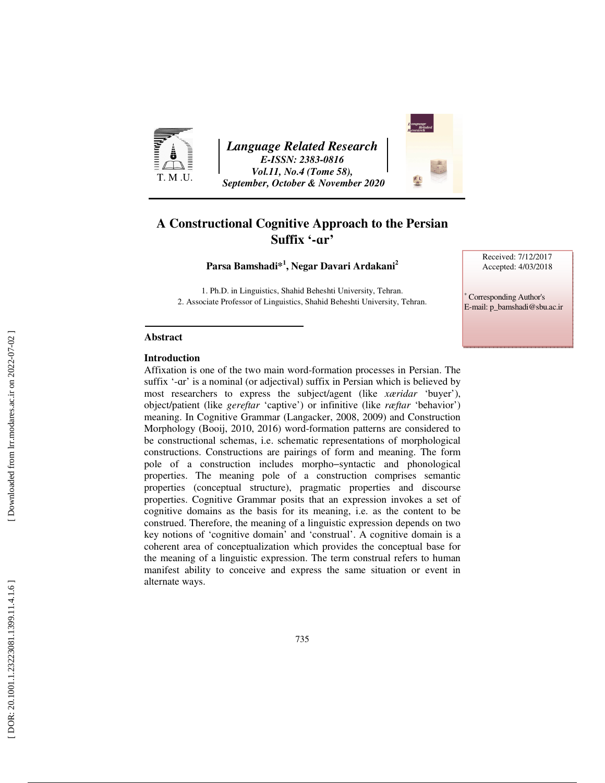

*Language Related Research E-ISSN: 2383-0816 Vol.11, No.4 (Tome 58), September, October & November 2020* 



### **A Constructional Cognitive Approach to the Persian Suffix '-** ɑ**r'**

**Parsa Bamshadi\* 1 , Negar Davari Ardakani 2**

1. Ph.D. in Linguistics, Shahid Beheshti University, Tehran. 2. Associate Professor of Linguistics, Shahid Beheshti University, Tehran. Received: 7/12/2017 Accepted: 4/03/2018

∗ Corresponding Author's E-mail: p\_bamshadi@sbu.ac.ir

### **Abstract**

### **Introduction**

Affixation is one of the two main word-formation processes in Persian. The suffix '- ɑr' is a nominal (or adjectival) suffix in Persian which is believed by most researchers to express the subject/agent (like *xæridar* 'buyer'), object/patient (like *gereft*ɑ *r* 'captive') or infinitive (like *ræftar* 'behavior') meaning. In Cognitive Grammar (Langacker, 2008, 2009) and Construction Morphology (Booij, 2010, 2016) word-formation patterns are considered to be constructional schemas, i.e. schematic representations of morphological constructions. Constructions are pairings of form and meaning. The form pole of a construction includes morpho−syntactic and phonological properties. The meaning pole of a construction comprises semantic properties (conceptual structure), pragmatic properties and discourse properties. Cognitive Grammar posits that an expression invokes a set of cognitive domains as the basis for its meaning, i.e. as the content to be construed. Therefore, the meaning of a linguistic expression depends on two key notions of 'cognitive domain' and 'construal'. A cognitive domain is a coherent area of conceptualization which provides the conceptual base for the meaning of a linguistic expression. The term construal refers to human manifest ability to conceive and express the same situation or event in alternate ways.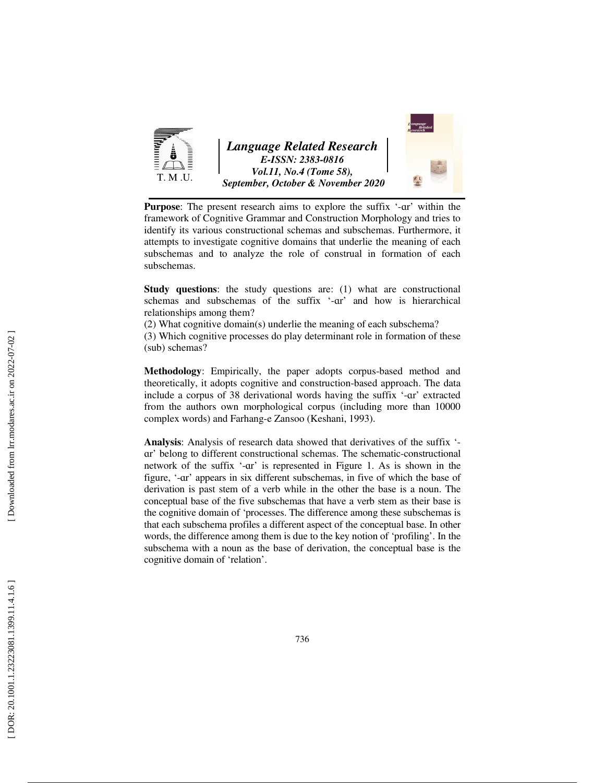

Purpose: The present research aims to explore the suffix '-ar' within the framework of Cognitive Grammar and Construction Morphology and tries to identify its various constructional schemas and subschemas. Furthermore, it attempts to investigate cognitive domains that underlie the meaning of each subschemas and to analyze the role of construal in formation of each subschemas.

**Study questions**: the study questions are: (1) what are constructional schemas and subschemas of the suffix '- ɑr' and how is hierarchical relationships among them?

(2) What cognitive domain(s) underlie the meaning of each subschema?

(3) Which cognitive processes do play determinant role in formation of these (sub) schemas?

**Methodology**: Empirically, the paper adopts corpus-based method and theoretically, it adopts cognitive and construction-based approach. The data include a corpus of 38 derivational words having the suffix '- ɑr' extracted from the authors own morphological corpus (including more than 10000 complex words) and Farhang-e Zansoo (Keshani, 1993).

Analysis: Analysis of research data showed that derivatives of the suffix '- ar' belong to different constructional schemas. The schematic-constructional network of the suffix '- ɑr' is represented in Figure 1. As is shown in the figure, '- ɑr' appears in six different subschemas, in five of which the base of derivation is past stem of a verb while in the other the base is a noun. The conceptual base of the five subschemas that have a verb stem as their base is the cognitive domain of 'processes. The difference among these subschemas is that each subschema profiles a different aspect of the conceptual base. In other words, the difference among them is due to the key notion of 'profiling'. In the subschema with a noun as the base of derivation, the conceptual base is the cognitive domain of 'relation'.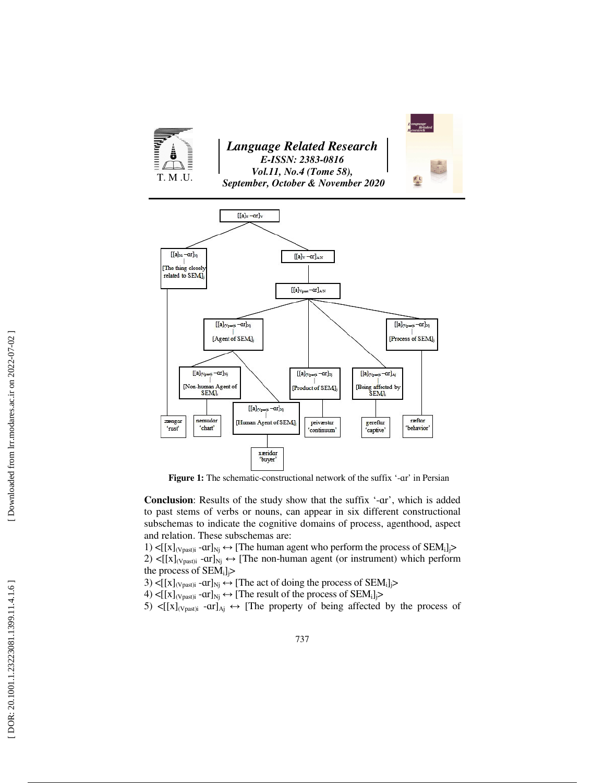



Figure 1: The schematic-constructional network of the suffix '-ar' in Persian

**Conclusion**: Results of the study show that the suffix '- ɑr', which is added to past stems of verbs or nouns, can appear in six different constructional subschemas to indicate the cognitive domains of process, agenthood, aspect and relation. These subschemas are:

1)  $\leq$ [[x]<sub>(Vpast)i</sub> -ar]<sub>Nj</sub>  $\leftrightarrow$  [The human agent who perform the process of SEM<sub>i</sub>]<sub>j</sub>> 2)  $\leq$ [[x]<sub>(Vpast)i</sub> -ar]<sub>Nj</sub>  $\leftrightarrow$  [The non-human agent (or instrument) which perform the process of  $SEM_i$ ]<sub>j</sub>>

3)  $\leq$ [[x]<sub>(Vpast)i</sub> -ar]<sub>Nj</sub>  $\leftrightarrow$  [The act of doing the process of SEM<sub>i</sub>] $\geq$ 

4)  $\leq [[x]_{(Vpast)i} - ar]_{Nj} \leftrightarrow [The result of the process of SEM<sub>i</sub>]$ 

5)  $\leq$ [[x]<sub>(Vpast)i</sub> -ar]<sub>Aj</sub>  $\leftrightarrow$  [The property of being affected by the process of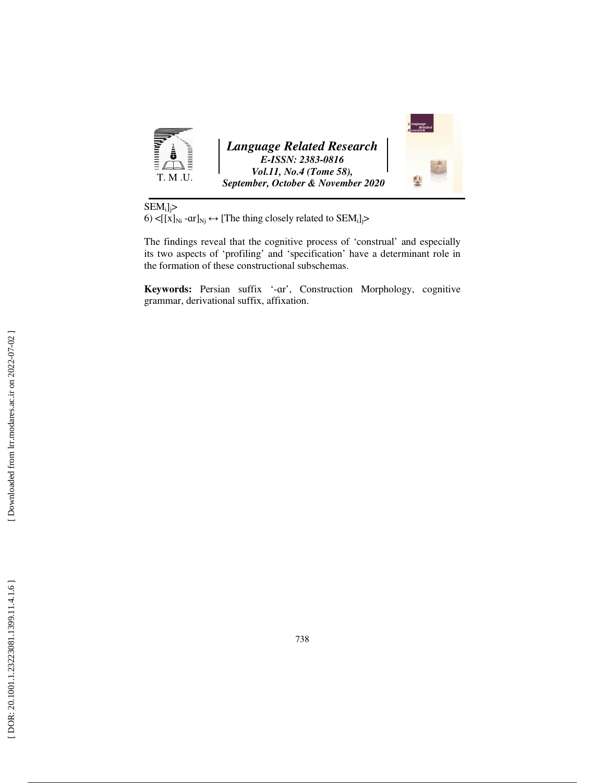

 $SEM_i]_j$ >

6)  $\leq$   $[x]_{\text{Ni}}$  -ar $]_{\text{Nj}} \leftrightarrow$  [The thing closely related to SEM<sub>i</sub>] $>$ 

The findings reveal that the cognitive process of 'construal' and especially its two aspects of 'profiling' and 'specification' have a determinant role in the formation of these constructional subschemas.

**Keywords:** Persian suffix '- ɑr', Construction Morphology, cognitive grammar, derivational suffix, affixation.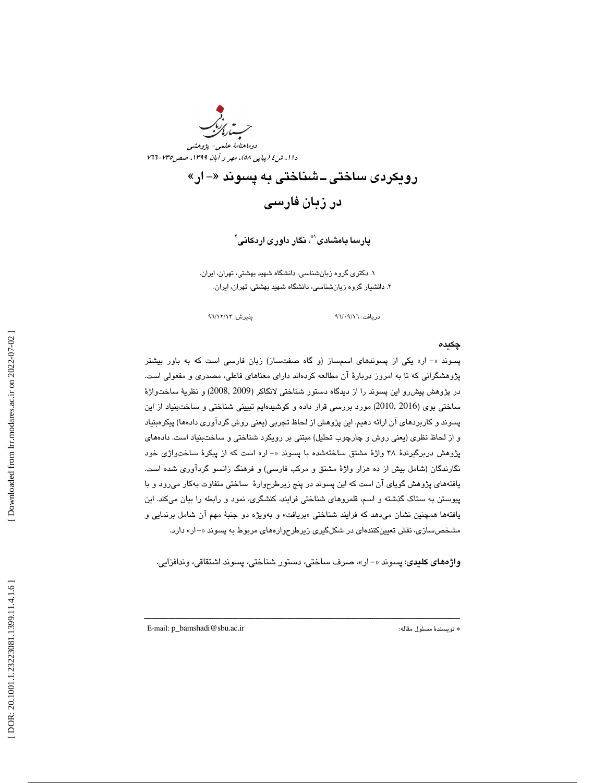

## رويكردى ساختى ــ شناختى به پسوند «– ار» ز در بان فارسي

پارسا بامشادی'\*، نگار داوری اردکانی'

 1. دكتري گروه زبانشناسي، دانشگاه شهيد بهشتي، تهران، ايران. . دانشيار گروه زبانشناسي، دانشگاه شهيد بهشتي، تهران، ايران. 2

دريافت: ٩٦/٠٩/١٦ ) هندرش: ٩٦/٠٩/١٦

### چكيده

پسوند «- ار» يكي از پسوندهاي اسمساز (و گاه صفتساز) زبان فارسي است كه به باور بيشتر پژوهشگراني كه تا به امروز دربارة آن مطالعه كردهاند داراي معناهاي فاعلي، مصدري و مفعولي است. در پژوهش پيشرو اين پسوند را از ديدگاه دستور شناختي لانگاكر (2009 2008,) و نظرية ساختواژة ساختي بوي (2016 2010, ) مورد بررسي قرار داده و كوشيدهايم تبييني شناختي و ساختبنياد از اين پسوند و كاربردهاي آن ارائه دهيم. اين پژوهش از لحاظ تجربي (يعني روش گردآوري دادهها) پيكرهبنياد و از لحاظ نظري (يعني روش و چارچوب تحليل) مبتني بر رويكرد شناختي و ساختبنياد است. دادههاي پژوهش دربرگیرندهٔ ۳۸ واژهٔ مشتق ساختهشده با پسوند «- ار» است كه از پیكرهٔ ساختواژي خود نگارندگان (شامل بيش از ده هزار واژة مشتق و مركب فارسي) و فرهنگ زانسو گردآوري شده است. يافتههاي پژوهش گوياي آن است كه اين پسوند در پنج زيرطرحوارة ساختي متفاوت بهكار ميرود و با پيوستن به ستاك گذشته و اسم، قلمروهاي شناختي فرايند، كنشگري، نمود و رابطه را بيان ميكند. اين يافتهها همچنين نشان ميدهد كه فرايند شناختي «بريافت» و بهويژه دو جنبهٔ مهم ان شامل برنمايي و مشخصسازي، نقش تعيينكنندهاي در شكلگيري زيرطرحوارههاي مربوط به پسوند «-ار» دارد.

**واژههای کلیدی**: پسوند «–ار»، صرف ساختی، دستور شناختی، پسوند اشتقاقی، وندافزایی.

ــــــــــــــــــــــــــــــــــــــــــــــــــــــــــــــــــــــــــــــــــــــــــــــــــــــــــــــــــــــــــــــــــــــــــ

E-mail: p\_bamshadi@sbu.ac.ir :مقاله مسئول نويسندة\*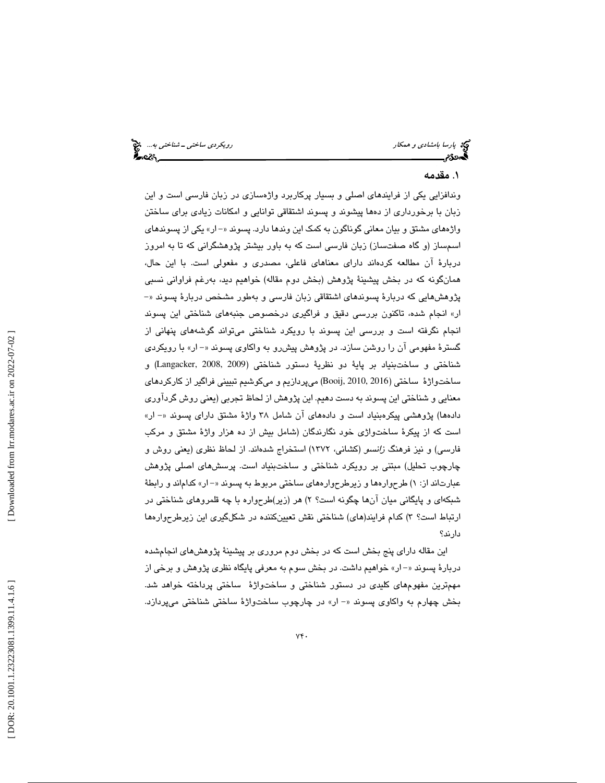پارسا بامشادی و همكار رويكردي ساختی ـ شناختی به... انتخ<br>پارسا بامشادی و همكار رويكردي به است.<br>پارسان به استان به استان به استان به استان به استان به استان به استان به استان به استان به استان به استان به ا

### . مقدمه 1

ندافزايي يكي از فرايندهاي اصلي و بسيار پركاربرد واژهسازي در زبان فارسي است و اين و زبان با برخورداري از دهها پيشوند و پسوند اشتقاقي توانايي و امكانات زيادي براي ساختن واژههاي مشتق و بيان معاني گوناگون به كمک اين وندها دارد. پسوند «– ار» يكي از پسوندهاي اسمساز (و گاه صفتساز) زبان فارسي است كه به باور بيشتر پژوهشگراني كه تا به امروز دربارهٔ آن مطالعه كردهاند داراي معناهاي فاعلي، مصدري و مفعولي است. با اين حال، همانگونه كه در بخش پيشينة پژوهش (بخش دوم مقاله) خواهيم ديد، بهرغم فراواني نسبي پژوهشهايي كه دربارهٔ پسوندهاي اشتقاقي زبان فارسي و بهطور مشخص دربارهٔ پسوند «– ار» انجام شده، تاكنون بررسي دقيق و فراگيري درخصوص جنبههاي شناختي اين پسوند انجام نگرفته است و بررسي اين پسوند با رويكرد شناختي ميتواند گوشههاي پنهاني از گسترهٔ مفهومی آن را روشن سازد. در پژوهش پیشررو به واکاوی پسوند «– ار» با رویکردی شناختي و ساختبنياد بر پاية دو نظرية دستور شناختي (2009 2008, ,Langacker (و ساختواژة ساختي (2016 2010, ,Booij (ميپردازيم و ميكوشيم تبييني فراگير از كاركردهاي معنايي و شناختي اين پسوند به دست دهيم. اين پژوهش از لحاظ تجربي (يعني روش گردآوري دادهها) پژوهشي پيكرهبنياد است و دادههاي آن شامل ٣٨ واژهٔ مشتق داراي پسوند «– ار» است كه از پيكرة ساختواژي خود نگارندگان (شامل بيش از ده هزار واژة مشتق و مركب فارسي) و نيز فرهنگ زانسو (كشاني، 1372) استخراج شدهاند. از لحاظ نظري (يعني روش و چارچوب تحليل) مبتني بر رويكرد شناختي و ساختبنياد است. پرسشهاي اصلي پژوهش عبارتاند از: ۱) طرحوارهها و زیرطرحوارههای ساختی مربوط به پسوند «– ار» كداماند و رابطهٔ شبکهای و پایگانی میان انها چگونه است؟ ۲) هر (زیر)طرحواره با چه قلمروهای شناختی در ارتباط است؟ ۳) كدام فرايند(هاي) شناختي نقش تعيينكننده در شكلگيري اين زيرطرحوارهها دارند؟

اين مقاله داراي پنج بخش است كه در بخش دوم مروري بر پيشينة پژوهشهاي انجامشده دربارهٔ پسوند «– ار» خواهیم داشت. در بخش سوم به معرفي پايگاه نظري پژوهش و برخي از مهمترين مفهومهاي كليدي در دستور شناختي و ساختواژهٔ ساختي پرداخته خواهد شد. بخش چهارم به واكاوي پسوند «- ار» در چارچوب ساختواژهٔ ساختي شناختي ميپردازد.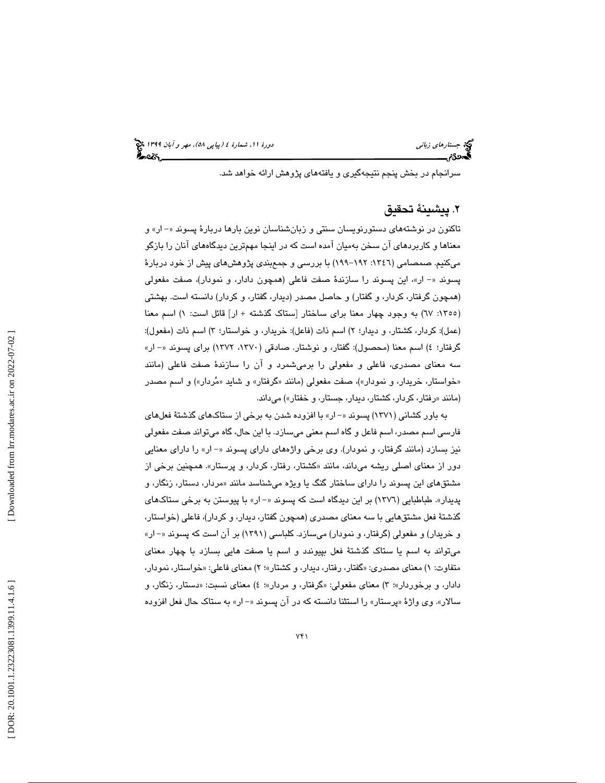سرانجام در بخش پنجم نتيجهگيري و يافتههاي پژوهش ارائه خواهد شد .

### . پيشينة تحقيق 2

تاكنون در نوشتههاي دستورنويسان سنتي و زبانشناسان نوين بارها دربارهٔ پسوند «–ار» و معناها و كاربردهاي آن سخن به ميان آمده است كه در اينجا مهمترين ديدگاههاي آنان را بازگو میکنیم. صمصامی (۱۳٤٦: ۱۹۲–۱۹۹) با بررسی و جمعبندی پژوهشهای پیش از خود دربارهٔ پسوند «– ار»، اين پسوند را سازندهٔ صفت فاعلي (همچون دادار، و نمودار)، صفت مفعولي (همچون گرفتار، كردار، و گفتار) و حاصل مصدر (ديدار، گفتار، و كردار) دانسته است. بهشتي (١٣٥٥: ٦٧) به وجود چهار معنا براي ساختار [ستاک گذشته + ار] قائل است: ١) اسم معنا (عمل): كردار، كشتار، و ديدار؛ ٢) اسم ذات (فاعل): خريدار، و خواستار؛ ٣) اسم ذات (مفعول): گرفتار؛ ٤) اسم معنا (محصول): گفتار، و نوشتار. صادقی (١٣٧٠، ١٣٧٢) برای پسوند «– ار» سه معناي مصدري، فاعلي و مفعولي را برميشمرد و آن را سازندة صفت فاعلي (مانند «خواستار، خریدار، و نمودار»)، صفت مفعولی (مانند «گرفتار» و شاید «مُردار») و اسم مصدر (مانند «رفتار، كردار، كشتار، ديدار، جستار، و خفتار») مىداند.

به باور كشاني (1371) پسوند ار -« » با افزوده شدن به برخي از ستاكهاي گذشتة فعلهاي فارسي اسم مصدر، اسم فاعل و گاه اسم معني ميسازد. با اين حال، گاه ميتواند صفت مفعولي نيز بسازد (مانند گرفتار، و نمودار). وي برخي واژههاي داراي پسوند «– ار» را داراي معنايي دور از معنای اصلی ریشه میداند، مانند «کشتار، رفتار، کردار، و پرستار». همچنین برخی از مشتقهای این پسوند را دارای ساختار گنگ یا ویژه میشناسد مانند «مردار، دستار، زنگار، و پديدار». طباطبايي (١٣٧٦) بر اين ديدگاه است كه پسوند «- ار» با پيوستن به برخي ستاكهاي گذشتة فعل مشتقهايي با سه معناي مصدري (همچون گفتار، ديدار، و كردار)، فاعلي (خواستار، و خريدار) و مفعولي (گرفتار، و نمودار) ميسازد. كلباسي (١٣٩١) بر آن است كه پسوند «– ار» ميتواند به اسم يا ستاك گذشتة فعل بپيوندد و اسم يا صفت هايي بسازد با چهار معناي متفاوت: ۱) معناي مصدري: «گفتار، رفتار، ديدار، و كشتار»؛ ۲) معناي فاعلي: «خواستار، نمودار، دادار، و برخوردار»؛ ۳) معنای مفعولی: «گرفتار، و مردار»؛ ٤) معنای نسبت: «دستار، زنگار، و سالار». وی واژهٔ «پرستار» را استثنا دانسته كه در ان پسوند «– ار» به ستاک حال فعل افزوده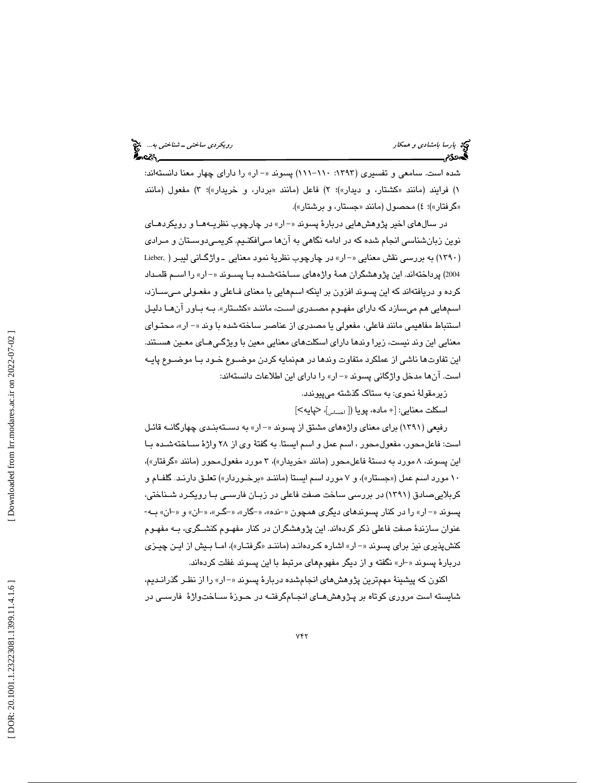شده است. سامعی و تفسیری (۱۳۹۳: ۱۱۰–۱۱۱) پسوند «– ار» را دارای چهار معنا دانستهاند: ۱) فرایند (مانند «کشتار، و دیدار»)؛ ۲) فاعل (مانند «بردار، و خریدار»)؛ ۳) مفعول (مانند «گرفتار»)؛ ٤) محصول (مانند «جستار، و برشتار»).

در سالهاي اخير پژوهشهايي دربارهٔ پسوند «–ار» در چارچوب نظريـههـا و رويكردهـاي نوين زبانشناسي انجام شده كه در ادامه نگاهي به آنها مـي افكنـيم. كريمـي دوسـتان و مـرادي (۱۳۹۰) به بررسی نقش معنایی «–ار» در چارچوب نظریهٔ نمود معنایی ــ واژگــانی لیبــر ( ,Lieber 2004) پرداختهاند. اين پژوهشگران همة واژههاي سـاخته شـده بـا پسـوند ار - « » را اسـم قلمـداد كرده و دريافتهاند كه اين پسوند افزون بر اينكه اسمهايي با معناي فـاعلي و مفعـولي مـي سـازد، اسمهايي هم ميسازد كه داراي مفهـوم مصـدري اسـت، ماننـد « كشـتار .» بـه بـاور آن هـا دليـل استتباط مفاهيمي مانند فاعلي، مفعولي يا مصدري از عناصر ساخته شده با وند «- ار»، محتـواي معنايي اين وند نيست، زيرا وندها داراي اسكلتهاي معنايي معين با ويژگـي هـاي معـين هسـتند. اين تفاوت ها ناشي از عملكرد متفاوت وندها در همنمايه كردن موضـوع خـود بـا موضـوع پايـه است. آنها مدخل واژگاني پسوند «– ار» را داراي اين اطلاعات دانستهاند:

زيرمقولهٔ نحوی: به ستاک گذشته ميپيوندد.

اسكلت معنايي: [+ ماده، پويا ([ <sub>احساس</sub>]، <پايه>]

رفيعي (١٣٩١) براي معناي واژههاي مشتق از پسوند «– ار» به دســتهبنـدي چهارگانــه قائـل است: فاعلمحور، مفعولمحور ، اسم عمل و اسم ايستا. به گفتة وي از 28 واژة سـاخته شـده بـا این پسوند، ۸ مورد به دستهٔ فاعلمحور (مانند «خریدار»)، ۳ مورد مفعولمحور (مانند «گرفتار»)، ۱۰ مورد اسم عمل («جستار»)، و ۷ مورد اسم ایستا (ماننـد «برخـوردار») تعلـق دارنـد. گلفـام و کربلاییصادق (۱۳۹۱) در بررسی ساخت صفت فاعلی در زبـان فارسـی بـا رویکـرد شـناختی، پسوند «- ار» را در كنار پسوندهاي ديگري همچون «-نده»، «كار»، «كر»، «-ان» و «-ان» بـه-عنوان سازندة صفت فاعلي ذكر كردهاند. اين پژوهشگران در كنار مفهـوم كنشـگري، بـه مفهـوم كنشپذيري نيز براي پسوند «– ار» اشاره كـردهانـد (ماننـد «گرفتـار»)، امـا بـيش از ايـن چيـزي دربارهٔ پسوند «-ار» نگفته و از ديگر مفهومهاي مرتبط با اين پسوند غفلت كردهاند.

اكنون كه پيشينهٔ مهمترين پژوهشهاي انجامشده دربارهٔ پسوند «–ار» را از نظـر گذرانـديم، شايسته است مروري كوتاه بر پـژوهش هـاي انجـام گرفتـه در حـوزة سـا ختواژة فارسـي در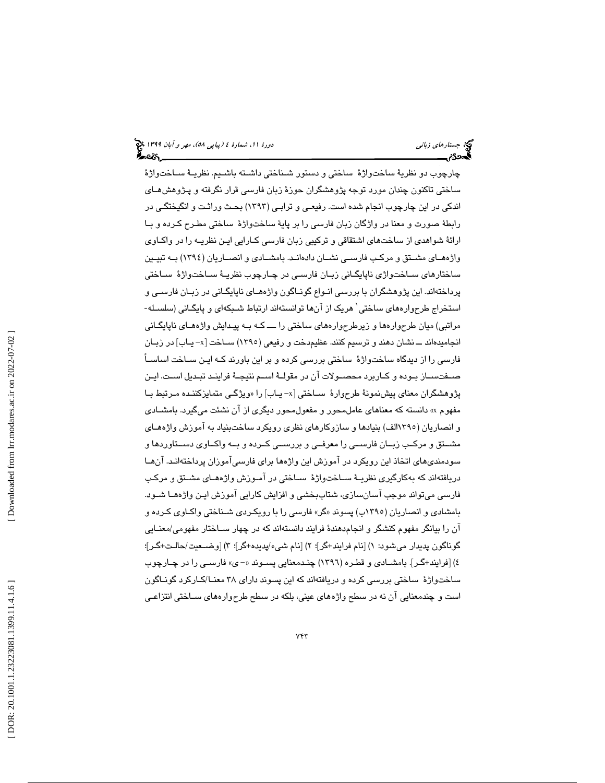چارچوب دو نظرية ساختواژة ساختي و دستور شـناختي داشـته باشـيم. نظريـة سـاخت واژة ساختي تاكنون چندان مورد توجه پژوهشگران حوزة زبان فارسي قرار نگرفته و پـژوهش هـاي اندكي در اين چارچوب انجام شده است. رفيعـي و ترابـي ( 1393) بحـث وراثـت و انگيختگـي در بطة صورت و معنا در واژگان زبان فارسي را بر پاية ساختواژة ساختي مطـرح كـرده و بـا ر ا ارائة شواهدي از ساختهاي اشتقاقي و تركيبي زبان فارسي كـارايي ايـن نظريـه را در واكـاوي واژههـاي مشـتق و مركـب فارسـي نشـان دادهانـد. بامشـادي و انصـاريان (1394) بـه تبيـين ساختارهاي سـاخت واژي ناپايگـاني زبـان فارسـي در چـارچوب نظريـة سـاخت واژة سـاختي پرداختهاند. اين پژوهشگران با بررسي انـواع گونـاگون واژه هـاي ناپايگـاني در زبـان فارسـي و استخراج طرحوارههای ساختی` هریک از آنها توانستهاند ارتباط شـبکهای و پایگـانی (سلسـله-مراتبي) ميان طرحوارهها و زيرطرحوارههاي ساختي را ـــ كـه بـه پيـدايش واژه هـاي ناپايگـاني انجاميدهاند ـــ نشان دهند و ترسيم كنند. عظيم،دخت و رفيعي (١٣٩٥) ســاخت [x- يــاب] در زبــان فارسي را از ديدگاه ساختواژة ساختي بررسي كرده و بر اين باورند كـه ايـن سـاخت اساسـاً صـفتسـاز بـوده و كـاربرد محصـولات آن در مقولـة اسـم نتيجـة فراينـد تبـديل اسـت. ايـن پژوهشگران معناي پيشنمونهٔ طرحوارهٔ ســاختي [x- يــاب] را «ويژگــي متمايزكننــده مـرتبط بــا » دانسته كه معناهاي عاملمحور و مفعولمحور ديگري از آن نشئت ميگيرد. بامشـادي مفهوم x و انصاريان (1395الف) بنيادها و سازوكارهاي نظري رويكرد ساختبنياد به آموزش واژههـاي مشــتق و مركــب زبــان فارســي را معرفــي و بررســي كــرده و بــه واكــاوي دســتاوردها و سودمنديهاي اتخاذ اين رويكرد در آموزش اين واژهها براي فارسيآموزان پرداختهانـد. آن هـا دريافتهاند كه بهكارگيري نظريـة سـاخت واژة سـاختي در آمـوزش وا ژههـاي مشـتق و مركـب فارسي ميتواند موجب آسانسازي، شتاببخشي و افزايش كارايي آموزش ايـن واژه هـا شـود. بامشادی و انصاریان (۱۳۹۰ب) پسوند «گر» فارسی را با رویکـردی شـناختی واکـاوی کـرده و آن را بيانگر مفهوم كنشگر و انجامدهندة فرايند دانستهاند كه در چهار سـاختار مفه ومي/معنـايي گوناگون پديدار ميشود: ١) [نام فرايند+گر]؛ ٢) [نام شيء/پديده+گر]؛ ٣) [وضــعيت/حالـت+گـر]؛ ٤) [فرایند+گـر]. بامشــادی و قطـره (١٣٩٦) چنـدمعنایی پســوند «– ی» فارســی را در چــارچوب ساختواژهٔ ساختی بررسی کرده و دریافتهاند که این پسوند دارای ۳۸ معنــا/کــارکرد گونــاگون 1 است و چندمعنايي آن نه در سطح واژههاي عيني، بلكه در سطح طرحوارههاي سـاختي انتزاعـي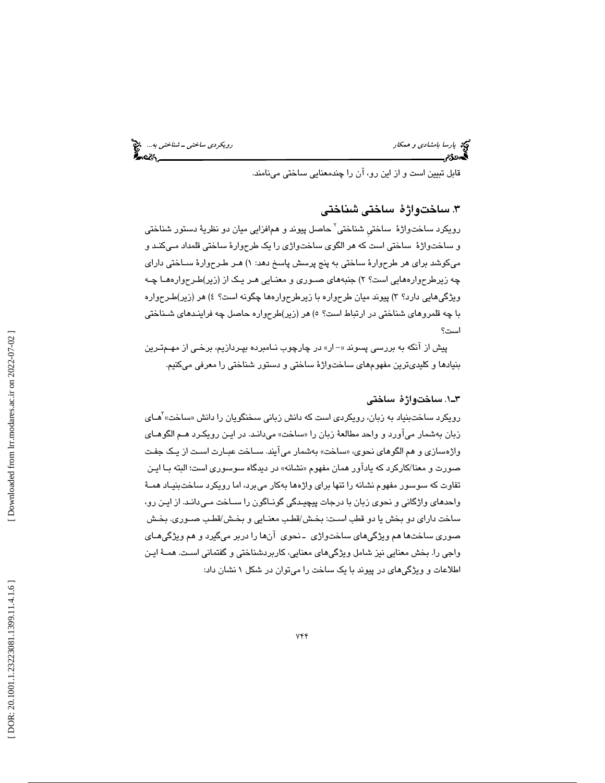پارسا بامشادی و همكار رويكردي ساختی ـ شناختی به.... انتخ<br>این مسئولات ـ شناختی به است.<br>این مسئولات ـ سنة الله ـ شناختی به است. این مسئولات الله ـ شناختی به است. این مسئولات ـ شناختی به است.

قابل تبيين است و از اين رو، آن را چندمعنايي ساختي مينامند.

### .3 ساختواژة ساختي شناختي

رويكرد ساختواژهٔ ساختی شناختی<sup>٬</sup> حاصل پیوند و هم|فزایی میان دو نظریهٔ دستور شناختی و ساختواژة ساختي است كه هر الگوي ساختواژي را يك طرحوارة ساختي قلمداد مـي كنـد و ميكوشد براي هر طرحوارة ساختي به پنج پرسش پاسخ دهد: 1 ) هـر طـرح وارة سـاختي داراي چه زيرطرحوارههايي است؟ ٢) جنبههاي صــوري و معنــايي هــر يــک از (زير)طـرحوارههــا چــه ويژگي،ايي دارد؟ ٣) پيوند ميان طرحواره با زيرطرحوارهها چگونه است؟ ٤) هر (زير)طـرحواره با چه قلمروهاي شناختي در ارتباط است؟ ٥) هر (زير)طرحواره حاصل چه فراينـدهاي شـناختي است؟

پيش از آنكه به بررسي پسوند «- ار» در چارچوب نـامبرده بپـردازيم، برخـي از مهـم-تـرين بنيادها و كليديترين مفهومهاي ساختواژة ساختي و دستور شناختي را معرفي ميكنيم.

### 1ـ3 . ساختواژة ساختي

رويكرد ساختبنياد به زبان، رويكردي است كه دانش زباني سخنگويان را دانش «ساخت» آ*ه*ـاي زبان بهشمار میاورد و واحد مطالعهٔ زبان را «ساخت» میدانـد. در ایـن رویکـرد هـم الگوهـای واژه سازي و هم الگوهاي نحوي، « ساخت به » شمار ميآيند. سـاخت عبـارت اسـت از يـك جفـت صورت و معنا/كاركرد كه يادآور همان مفهوم « نشانه » در ديدگاه سوسوري است؛ البته بـا ايـن تفاوت كه سوسور مفهوم نشانه را تنها براي واژه به ها كار ميبرد، اما رويكرد ساخت بنيـاد همـة واحدهاي واژگاني و نحوي زبان با درجات پيچيـدگي گونـاگون را سـاخت مـي دانـد از. ايـن رو، ساخت داراي دو بخش يا دو قطب اسـت: بخـش/قطـب معنــايي و بخـش/قطـب صــوري. بخـش صوري ساختها هم ويژگيهاي ساختواژي ـ نحوي آنها را دربر ميگيرد و هم ويژگيهـاي واجي را. بخش معنايي نيز شامل ويژگيهاي معنايي، كاربردشناختي و گفتماني اسـت. همــۀ ايـن اطلاعات و ويژگيهاي در پيوند با يک ساخت را ميتوان در شكل ۱ نشان داد: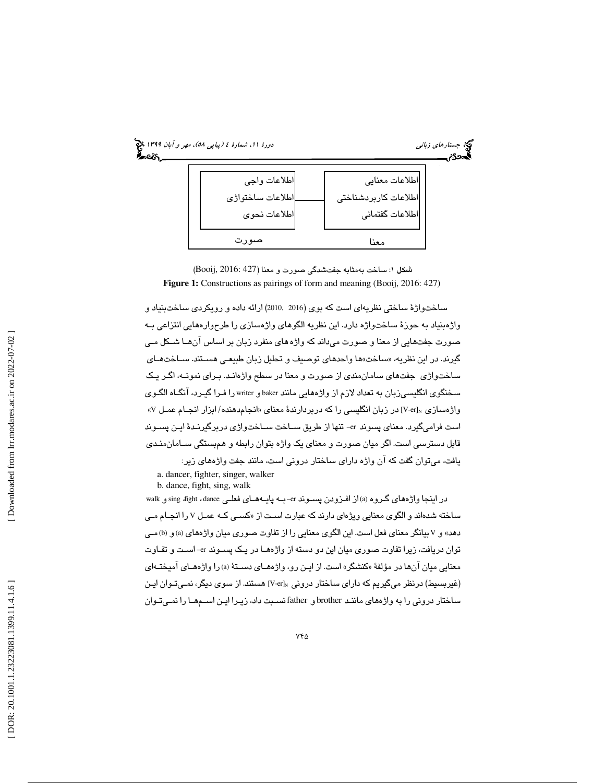

شكل 1: ساخت بهمثابه جفتشدگي صورت و معنا (427 2016: ,Booij( **Figure 1:** Constructions as pairings of form and meaning (Booij, 2016: 427)

ساختواژة ساختي نظريهاي است كه بوي (2016 2010,) ارائه داده و رويكردي ساختبنياد و واژهبنياد به حوزة ساختواژه دارد. اين نظريه الگوهاي واژهسازي را طرحوارههايي انتزاعي بـه صورت جفتهايي از معنا و صورت ميداند كه واژههاي منفرد زبان بر اساس آن هـا شـكل مـي گيرند. در اين نظريه، «ساخت»ها واحدهاي توصيف و تحليل زبان طبيعـي هسـتند. ســاختـهــاي ساختواژي جفتهاي سامانمندي از صورت و معنا در سطح واژهانـد . بـراي نمونـه، اگـر يـك سـخنگوی انگلیسـیزبان به تعداد لازم از واژههایی مانند baker و writer را فـرا گیـرد، انگـاه الگـوی واژهسازی V-er]s در زبان انگلیسی را که دربردارندهٔ معنای «انجامدهنده/ ابزار انجـام عمـل ۷» است فراميگيرد. معناي پسوند er –تنها از طريق سـاخت سـاخت واژي دربرگيرنـدة ايـن پسـوند قابل دسترسي است. اگر ميان صورت و معناي يك واژه بتوان رابطه و همبستگي سـامان منـدي يافت، ميتوان گفت كه آن واژه داراي ساختار دروني است، مانند جفت واژههاي زير:

a. dancer, fighter, singer, walker b. dance, fight, sing, walk

در اينجا واژههاي گـروه (a) از افـزودن پسـوند er-بـه پايـههـاي فعلـي sing fight ، dance و walk ساخته شدهاند و الگوی معنایی ویژهای دارند كه عبارت اسـت از «كسـی كــه عمـل ۷ را انجــام مـی دهد» و V بيانگر معناي فعل است. اين الگوي معنايي را از تفاوت صوري ميان واژههاي (a) و (b) مـي توان دريافت، زيرا تفاوت صوري ميان اين دو دسته از واژه هـا در يـك پسـوند er –اسـت و تفـاوت معنايي ميان آنها در مؤلفهٔ «كنشگر» است. از ايـن رو، واژههـاي دسـتهٔ (a) را واژههـاي آميختـهاي (غیربسیط) درنظر میگیریم که دارای ساختار درونی ،V-er] هستند. از سوی دیگر، نمـیتـوان ایـن ساختار دروني را به واژههاي ماننـد brother و father نسـبت داد، زيـرا ايـن اســمهــا را نمـيتـوان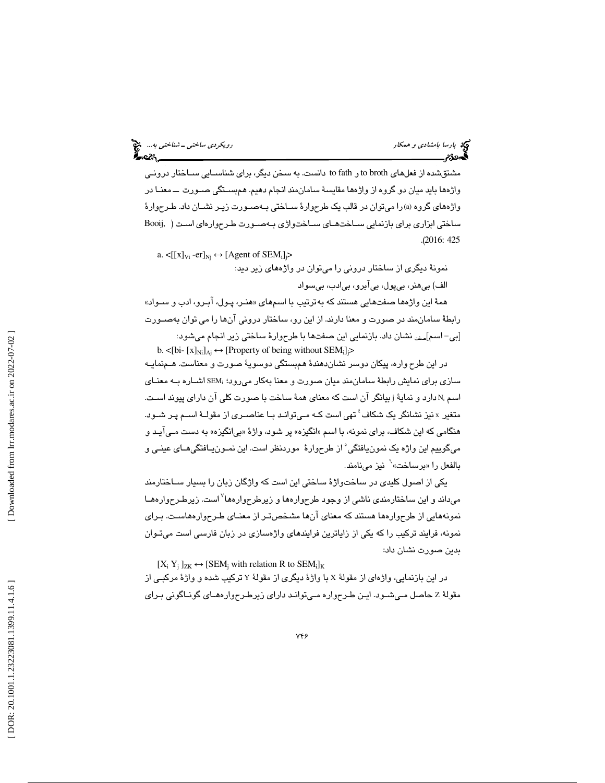پارسا بامشادی و همكار رويكردي ساختی ـــ شناختی به... الباكل استان به استان به استان به استان به این نمایش به ا<br>ال**این نمایش استان به استان به استان به استان به استان به استان به استان به استان به استان به استان به استان ب** 

مشتقشده از فعلهای to broth و to fath دانست. به سخن دیگر، برای شناســایی ســاختار درونـی واژه ها بايد ميان دو گروه از واژه ها مقايسة سامان مند انجام دهيم. همبسـتگي صـورت ــ معنـا در واژههاي گروه (a (را ميتوان در قالب يك طرحوارة سـاختي بـه صـورت زيـر نشـان . داد طـرح وارة ساختي ابزاري براي بازنمايي سـاخت هـاي سـاخت واژي بـه صـورت طـرح واره اي اسـت ( ,Booij .( 2016: 425

a.  $\langle [[x]_{Vi} - er]_{Nj} \leftrightarrow [Agent \text{ of } SEM_i]_{j} \rangle$ 

نمونة ديگري از ساختار دروني را ميتوان در واژههاي زير ديد: الف) بيهنر، بيپول، بيآبرو، بيادب، بيسواد

همة اين واژه ها صفتهايي هستند به كه ترتيب با اسمهاي « هنـر، پـول، آبـرو، ادب و سـواد » رابطة سامان مند در صورت و معنا دارند از. اين رو، ساختار دروني آن را ها مي توان به صـورت [بی–اسم<sub>]صفت</sub> نشان داد. بازنمایی این صفتها با طرحوارهٔ ساختی زیر انجام میشود: b.  $\lt [bi - [x]_{Ni}]_{Aj} \leftrightarrow [Property of being without SEM_i]$ 

 در اين طرح واره ، پيكان دوسر نشاندهندة همبستگي دوسوية صورت و معناست. هـم نمايـه سازي براي نمايش رابطهٔ سامانمند ميان صورت و معنا بهكار ميرود؛ ،SEM اشـاره بــه معنـاي اسم ،N دارد و نمايۀ زبيانگر ان است كه معناي همۀ ساخت با صورت كلي ان داراي پيوند اسـت. متغير x نيز نشانگر يک شکاف ٔ تهي است كـه مـيتوانـد بـا عناصـري از مقولـهٔ اسـم پـر شـود. هنگامي كه اين شكاف، براي نمونه، با اسم «انگيزه» پر شود، واژهٔ «بي انگيزه» به دست مـي آيـد و ميگوييم اين واژه يک نمونيافتگي°از طرحوارهٔ موردنظر است. اين نمـونيـافتگيهـاي عينـي و بالفعل را «برساخت»<sup>٦</sup> نيز مىنامند.

يكي از اصول كليدي در ساختواژة ساختي اين است كه واژگان زبان را بسيار سـاختارمند ميداند و اين ساختارمندي ناشي از وجود طرحوارهها و زيرطرحوارهها 7 است. زيرطـرح وارههـا نمونههايي از طرح هوار ها هستند كه معناي آنها مشخصتـر از معنـاي طـرح وارههاسـت. بـراي نمونه، فرايند تركيب را كه يكي از زاياترين فرايندهاي واژهسازي در زبان فارسي است ميتـوان بدين صورت نشان داد:

 $[X_i Y_j]_{ZK} \leftrightarrow [SEM_j$  with relation R to SEM<sub>ilK</sub>

در اين بازنمايي، واژهاي از مقولهٔ X با واژهٔ ديگري از مقولهٔ Y تركيب شده و واژهٔ مركبـي از حاصل مـي شـود. ايـن طـرح واره مـي توانـد داراي زيرطـرح وارههـاي گونـاگوني بـراي مقولة Z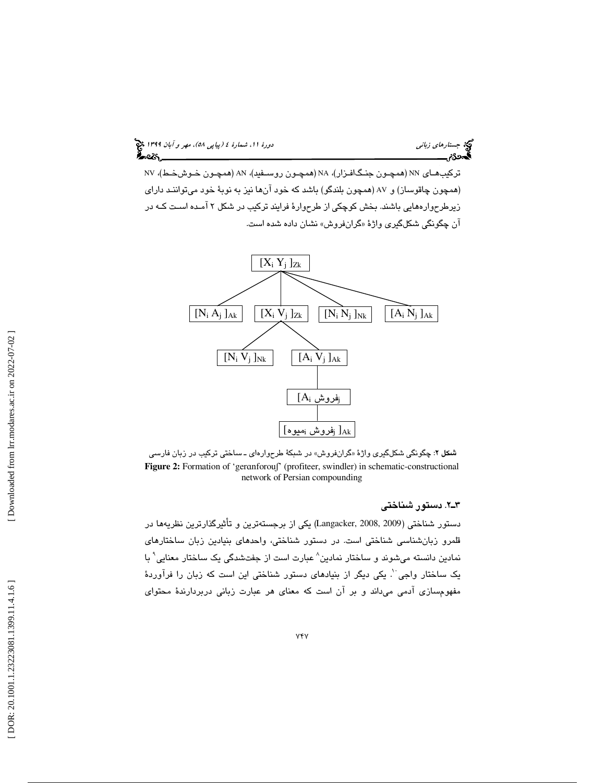(پياپي 58)، مهر و آبان 1399 جستارهاي زباني دورة ،11 شمارة 4

تركيبهـاي NN) همچـون جنـگ افـزار)، NA) همچـون روسـفيد)، AN) همچـون خـوش خـط)، NV (همچون چاقوساز) و AV) همچون بلندگو) باشد كه خود آنها نيز به نوبة خود ميتواننـد داراي زيرطرح وارههايي باشند. بخش كوچكي از طرحوارة فرايند تركيب در شكل 2 آمـده اسـت كـه در ان چگونگی شكلگیری واژهٔ «گرانفروش» نشان داده شده است.



**شكل ۲**: چگونگي شكلگير*ى* واژهٔ «گرانفروش» در شبكهٔ طرحوارهاى ــ ساختى تركيب در زبان فارسى Figure 2: Formation of 'geranforouf' (profiteer, swindler) in schematic-constructional network of Persian compounding

### 2ـ3 . دستور شناختي

دستور شناختي (Langacker, 2008, 2009) يكي از برجستهترين و تأثيرگذارترين نظريهها در قلمرو زبانشناسي شناختي است. در دستور شناختي، واحدهاي بنيادين زبان ساختارهاي نمادين دانسته میشوند و ساختار نمادين^ عبارت است از جفتشدگی يک ساختار معنايی` با يک ساختار واجي ``. يکي ديگر از بنيادهاي دستور شناختي اين است که زبان را فرآوردهٔ مفهومسازي آدمي ميداند و بر آن است كه معناي هر عبارت زباني دربردارندهٔ محتواي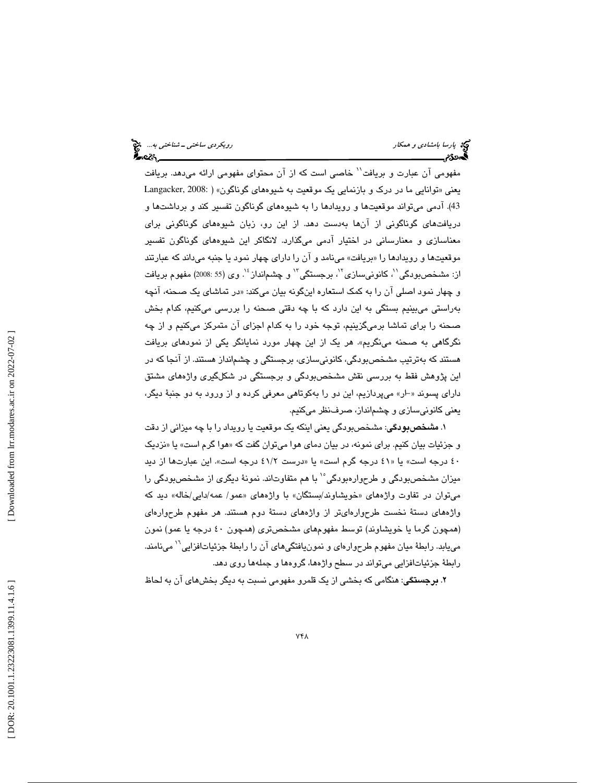|  | رویکردی ساختی – شناختی به چ <mark>خ</mark><br>دویکردی ساختی – شناختی به |  |  |
|--|-------------------------------------------------------------------------|--|--|
|  |                                                                         |  |  |

مفهومي آن عبارت و بريافت<sup>\\</sup> خاصي است كه از آن محتواي مفهومي ارائه ميدهد. بريافت يعني « توانايي ما در درك و بازنمايي يك موقعيت به شيوههاي گوناگون» ( 2008: ,Langacker 43). آدمی میتواند موقعیتها و رویدادها را به شیوههای گوناگون تفسیر کند و برداشتها و دريافتهاي گوناگوني از آنها بهدست دهد. از اين رو، زبان شيوههاي گوناگوني براي معناسازي و معنارساني در اختيار آدمي ميگذارد. لانگاكر اين شيوههاي گوناگون تفسير موقعيتها و رويدادها را «بريافت» مينامد و آن را داراي چهار نمود يا جنبه ميداند كه عبارتند از: مشخصبودگي''، كانونيسازي''، برجستگي'' و چشمانداز ٔ'. وي (55 :2008) مفهوم بريافت و چهار نمود اصلي آن را به كمك استعاره اينگونه بيان ميكند: «در تماشاي يک صحنه، آنچه بهراستي ميبينيم بستگي به اين دارد با كه چه دقتي صحنه را بررسي ميكنيم، كدام بخش صحنه را براي تماشا برميگزينيم، توجه خود را به كدام اجزاي آن متمركز ميكنيم و از چه نگرگاهي به صحنه مينگريم». هر يک از اين چهار مورد نمايانگر يكي از نمودهاي بريافت هستند كه بهترتيب مشخصبودگي، كانونيسازي، برجستگي و چشمانداز هستند. از آنجا كه در اين پژوهش فقط به بررسي نقش مشخصبودگي و برجستگي در شكلگيري واژههاي مشتق داراي پسوند «-ار» ميپردازيم، اين دو را بهكوتاهي معرفي كرده و از ورود به دو جنبهٔ ديگر، يعني كانونيسازي و چشمانداز، صرفنظر ميكنيم.

۱. **مشخصبودگی**: مشخصبودگی يعنی اينكه يک موقعيت يا رويداد را با چه ميزانی از دقت و جزئیات بیان کنیم. برای نمونه، در بیان دمای هوا میتوان گفت که «هوا گرم است» یا «نزدیک 40 درجه است» «يا 41 درجه گرم است» «يا درست 2/ 41 درجه است». اين عبارتها از ديد ميزان مشخصبودگي و طرحوارهبودگي°` با هم متفاوتاند. نمونهٔ ديگري از مشخصبودگي را میتوان در تفاوت واژههای «خویشاوند/بستگان» با واژههای «عمو/ عمه/دایی/خاله» دید که واژههاي دستة نخست طرحوارهايتر از واژههاي دستة دوم هستند. هر مفهوم طرحوارهاي (همچون گرما يا خويشاوند) توسط مفهومهاي مشخصتري (همچون 40 درجه يا عمو) نمون مييابد. رابطهٔ ميان مفهوم طرحوارهاي و نمونيافتگيهاي آن را رابطهٔ جزئياتافزايي<sup>۱٬</sup> مينامند. رابطة جزئياتافزايي ميتواند در سطح واژهها، گروهها و جملهها روي دهد.

. برجستگي: هنگامي كه بخشي از يك قلمرو مفهومي نسبت به ديگر بخشهاي آن به لحاظ 2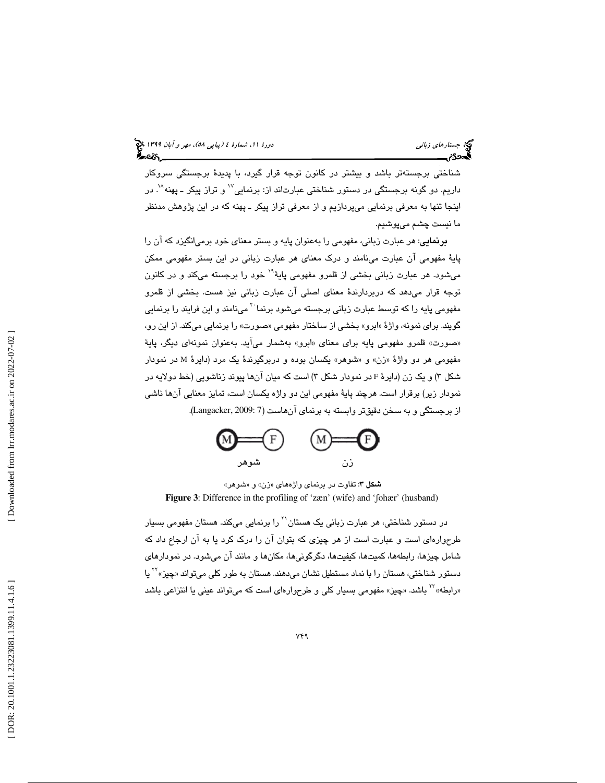شناختي برجستهتر باشد و بيشتر در كانون توجه قرار گيرد، با پديدة برجستگي سروكار داریم. دو گونه برجستگی در دستور شناختی عبارتاند از: برنمایی $^{\vee}$  و تراز پیکر ـ پهنه $^{\vee}$ . در اينجا تنها به معرفي برنمايي ميپردازيم و از معرفي تراز پيكر ـ پهنه كه در اين پژوهش مدنظر ما نيست چشم ميپوشيم.

**برنمايي**: هر عبارت زباني، مفهومي را بهعنوان پايه و بستر معناي خود برمي/نگيزد كه آن را پایهٔ مفهومی ان عبارت مینامند و درک معنای هر عبارت زبانی در این بستر مفهومی ممکن<br>میشود. هر عبارت زبانی بخشی از قلمرو مفهومی پایهٔ<sup>۱۹</sup> خود را برجسته میکند و در کانون توجه قرار ميدهد كه دربردارندة معناي اصلي آن عبارت زباني نيز هست. بخشي از قلمرو مفهومی پايه را که توسط عبارت زبانی برجسته میشود برنما<sup>۲۰</sup> مینامند و این فرایند را برنمایی گويند. براي نمونه، واژهٔ «ابرو» بخشي از ساختار مفهومي «صورت» را برنمايي ميكند. از اين رو، «صورت» قلمرو مفهومي پايه براي معناي «ابرو» بهشمار مي!يد. بهعنوان نمونهاي ديگر، پايهٔ مفهومي هر دو واژهٔ «زن» و «شوهر» يكسان بوده و دربرگيرندهٔ يک مرد (دايرهٔ M در نمودار شكل ٣) و يک زن (دايرۀ F در نمودار شكل ٣) است كه ميان انها پيوند زناشويي (خط دولايه در نمودار زير) برقرار است. هرچند پاية مفهومي اين دو واژه يكسان است، تمايز معنايي آنها ناشي از برجستگي و به سخن دقيقتر وابسته به برنماي آنهاست (7 2009: ,Langacker( .



شمكل ۳: تفاوت در برنماي واژههاي «زن» و «شوهر» **Figure 3**: Difference in the profiling of 'zæn' (wife) and 'ʃohær' (husband)

در دستور شناختی، هر عبارت زبانی یک هستان'<sup>۲</sup> را برنمایی میکند. هستان مفهومی بسیار طرح وارهاي است و عبارت است از هر چيزي كه بتوان آن را درك كرد يا به آن ارجاع داد كه شامل چیزها، رابطهها، کمیتها، کیفیتها، دگرگونیها، مکانها و مانند آن میشود. در نمودارهای<br>دستور شناختی، هستان را با نماد مستطیل نشان میدهند. هستان به طور کلی میتواند «چیز» <sup>۲۲</sup> یا «رابطه» \*\* باشد. «چيز» مفهومي بسيار كلي و طرحوارهاي است كه ميتواند عيني يا انتزاعي باشد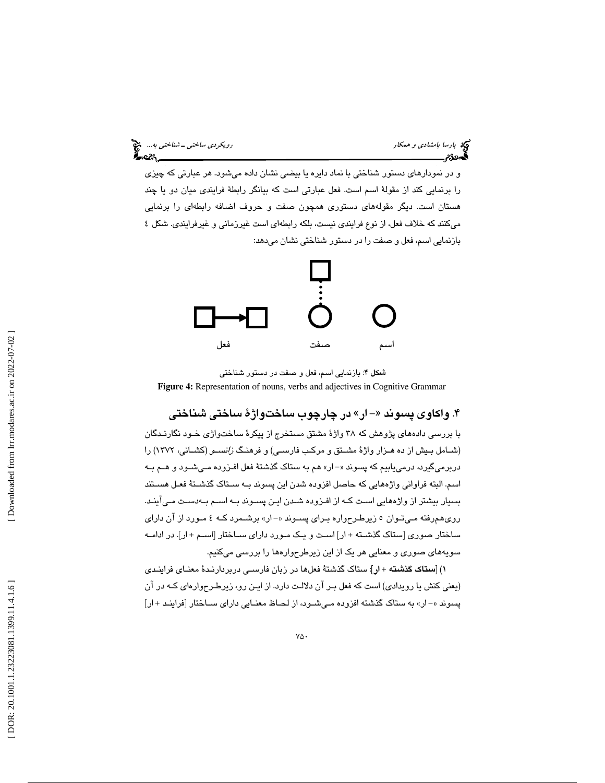و در نمودارهاي دستور شناختي با نماد دايره يا بيضي نشان داده ميشود. هر عبارتي كه چيزي را برنمايي كند از مقولة اسم است. فعل عبارتي است كه بيانگر رابطة فرايندي ميان دو يا چند هستان است. ديگر مقولههاي دستوري همچون صفت و حروف اضافه رابطهاي را برنمايي ميكنند كه خلاف فعل، از نوع فرايندي نيست، بلكه رابطهاي است غيرزماني و غيرفرايندي. شكل 4 بازنمايي اسم، فعل و صفت را در دستور شناختي نشان ميدهد:



شكل 4: بازنمايي اسم، فعل و صفت در دستور شناختي **Figure 4:** Representation of nouns, verbs and adjectives in Cognitive Grammar

### ۴. واکاوی پسوند «–ار» در چارچوب ساختواژهٔ ساختی شناختی

با بررسي دادههاي پژوهش كه 38 واژة مشتق مستخرج از پيكرة ساختواژي خـود نگارنـدگان (شـامل بـيش از ده هـزار واژة مشـتق و مركـب فارسـي) و فرهنـگ زانسـو (كشـاني، 1372) را دربرميگيرد، درمييابيم كه پسوند «–ار» هم به ستاك گذشتهٔ فعل افـزوده مـيشـود و هـم بـه اسم. البته فراواني واژههايي كه حاصل افزوده شدن اين پسوند بـه سـتاك گذشـتة فعـل هسـتند بسيار بيشتر از واژههايي اسـت كـه از افـزوده شـدن ايـن پسـوند بـه اسـم بـه دسـت مـي آينـد. روي همرفته مـي تـوان 5 زيرطـرح واره بـراي پسـوند ار - « » برشـمرد كـه 4 مـورد از آن داراي ساختار صوري [ستاك گذشـته + ار] اسـت و يـك مـورد داراي سـاختار [اسـم + ار]. در ادامـه سويههاي صوري و معنايي هر يك از اين زيرطرح وارهها را بررسي ميكنيم.

) [ستاك گذشته + ار]: ستاك گذشتة فعلها در زبان فارسـي دربردارنـدة معنـاي فر اينـدي 1 (يعني كنش يا رويدادي) است كه فعل بـر آن دلالـت دارد. از ايـن رو، زيرطـرح وارهاي كـه در آن پسوند «- ار» به ستاك گذشته افزوده مـي شـود، از لحـاظ معنـايي داراي سـاختار [فراينـد + ار]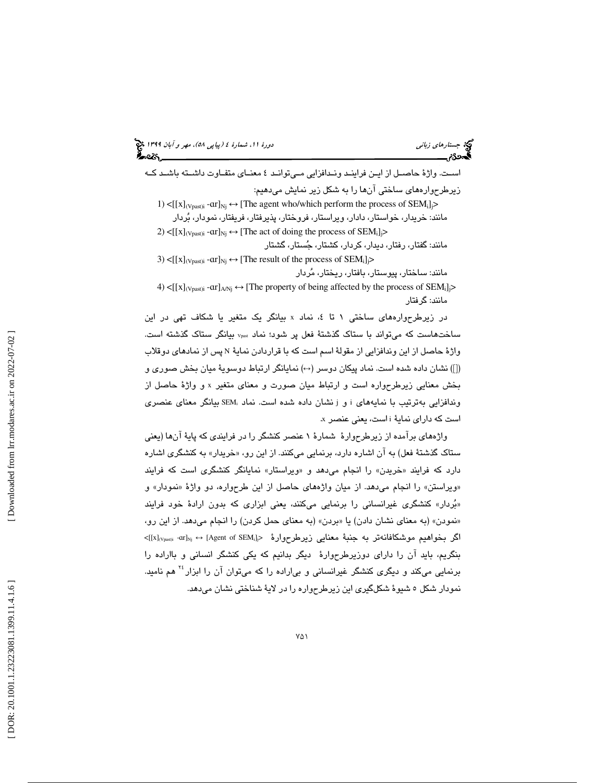|  | بورهٔ ۱۱، شمارهٔ ٤ (بیایی ٥٨)، مهر و آبان ۱۳۹۹ چیم<br>۱۳۹۶ میلی |  |  |  |
|--|-----------------------------------------------------------------|--|--|--|
|  |                                                                 |  |  |  |

جي جستارها*ي زباني* دورة ،11 شمار دورة ،11 شمارهاي زباني دورة ،11 شمار دورة ،11 شمار دورة ،11 شمار دورة ،11 شمار<br>**4 شمار**ة 4

اسـت. واژة حاصـل از ايـن فراينـد ونـدافزايي مـي توانـد 4 معنـاي متفـاوت داشـته باشـد كــه زير طرح وارههاي ساختي آنها را به شكل زير نمايش ميدهيم:

1)  $\leq$ [[x]<sub>(Vpast)i</sub> - ar]<sub>Nj</sub>  $\leftrightarrow$  [The agent who/which perform the process of SEM<sub>i</sub>]<sub>j</sub>> مانند: خريدار، خواستار، دادار، ويراستار، فروختار، پذيرفتار، فريفتار، نمودار، بردار

2) < $[[x]_{(Vpast)i}$  - $ar]_{Nj} \leftrightarrow [The act of doing the process of SEM<sub>i</sub>]<sub>j</sub>$ مانند: گفتار، رفتار، ديدار، كردار، كشتار، جستار، گشتار 3) < $[[x]_{(Vpast)i}$  - $ar]_{Nj} \leftrightarrow [The result of the process of SEM_i]$ 

مانند: ساختار، پيوستار، بافتار، ريختار، مردار

4) < $[[x]_{(Vpast)i}$  -ar] $_{(ANj)} \leftrightarrow [The property of being affected by the process of SEM<sub>i</sub>]<sub>j</sub>$ مانند: گرفتار

در زيرطرحوارههاي ساختي ١ تا ٤، نماد x بيانگر يک متغير يا شکاف تهي در اين ساختهاست كه ميتواند با ستاك گذشتة فعل پر شود؛ نماد Vpast بيانگر ستاك گذشته است. واژهٔ حاصل از این وندافزایی از مقولهٔ اسم است که با قراردادن نمایهٔ N پس از نماد*های دو*قلاب ([]) نشان داده شده است. نماد پيكان دوسر (←) نمايانگر ارتباط دوسويهٔ ميان بخش صوري و بخش معنايي زيرطرحواره است و ارتباط ميان صورت و معناى متغير x و واژهٔ حاصل از وندافزايي بهترتيب با نمايههاي i و j نشان داده شده است. نماد ;SEM بيانگر معناي عنصري است که دارا*ی* نمایهٔ i است، یعنی عنصر x.

 واژههاي برآمده از زيرطرحوارة شمارة 1 عنصر كنشگر را در فرايندي كه پاية آنها (يعني ستاک گذشتهٔ فعل) به ان اشاره دارد، برنمایی میکنند. از این رو، «خریدار» به کنشگری اشاره دارد كه فرايند «خريدن» را انجام مىدهد و «ويراستار» نمايانگر كنشگرى است كه فرايند «ویراستن» را انجام میٖدهد. از میان واژههای حاصل از این طرحواره، دو واژهٔ «نمودار» و «بُردار» كنشگرى غيرانسانى را برنمايى مىكنند، يعنى ابزارى كه بدون ارادهٔ خود فرايند «نمودن» (به معناي نشان دادن) يا «بردن» (به معناي حمل كردن) را انجام ميدهد. از اين رو،  $[{\rm [x]_{\rm (Vpasti}}]$  - ${\rm arl_{\rm Nj}} \leftrightarrow {\rm [Agent\,\, of\,\, SEM_i]}$ > خيراهيم موشكافانهتر به جنبة معنايي زيرطرحوارهٔ بنگريم، بايد آن را داراي دوزيرطرحوارة ديگر بدانيم كه يكي كنشگر انساني و بااراده را برنمايي ميكند و ديگري كنشگر غيرانساني و بي|راده را كه ميتوان آن را ابزار<sup>۲۶</sup> هم ناميد. نمودار شكل 5 شيوة شكلگيري اين زيرطرحواره را در لاية شناختي نشان ميدهد.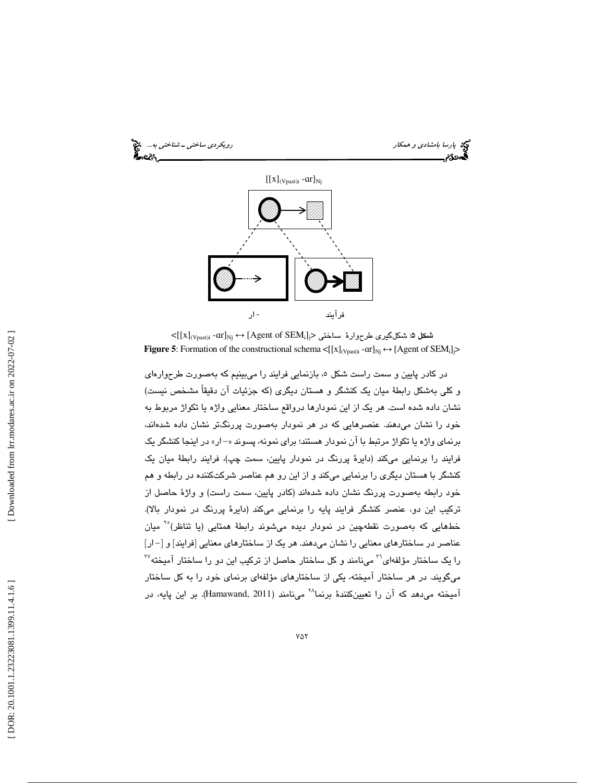

 $<$ [[x] $_{(\rm Vpast)i}$  - ${\rm arl_{Nj}} \leftrightarrow$  [Agent of SEM $_{\rm i}$ ز) ساختی  $_{\rm i}$ **Figure 5:** Formation of the constructional schema  $\langle [x]_{(Vpast)i} \text{--} \text{or} ]_{\text{Nj}} \leftrightarrow [$  Agent of SEM<sub>i</sub>] $\ge$ 

در كادر پايين و سمت راست شكل ٥، بازنمايي فرايند را ميبينيم كه بهصورت طرحوارهاي و كلي بهشكل رابطة ميان يك كنشگر و هستان ديگري (كه جزئيات آن دقيقاً مشخص نيست) نشان داده شده است. هر يك از اين نمودارها درواقع ساختار معنايي واژه يا تكواژ مربوط به خود را نشان ميدهند. عنصرهايي كه در هر نمودار بهصورت پررنگتر نشان داده شدهاند، برنماي واژه يا تكواژ مرتبط با آن نمودار هستند؛ براي نمونه، پسوند «-ار» در اينجا كنشگر يک فرايند را برنمايي ميكند (دايرة پررنگ در نمودار پايين، سمت چپ)، فرايند رابطة ميان يك كنشگر با هستان ديگري را برنمايي ميكند و از اين رو هم عناصر شركتكننده در رابطه و هم خود رابطه بهصورت پررنگ نشان داده شدهاند (كادر پايين، سمت راست) و واژة حاصل از تركيب اين دو، عنصر كنشگر فرايند پايه را برنمايي ميكند (دايرة پررنگ در نمودار بالا). خطهايي كه بهصورت نقطهچين در نمودار ديده ميشوند رابطهٔ همتايي (يا تناظر)<sup>۲۰</sup> ميان عناصر در ساختارهاي معنايي را نشان ميدهند. هر يك از ساختارهاي معنايي [فرايند] و [ - ار] را یک ساختار مؤلفهای<sup>۲۰</sup> مینامند و کل ساختار حاصل از ترکیب این دو را ساختار آمیخته<sup>۲۷</sup> ميگويند. در هر ساختار آميخته، يكي از ساختارهاي مؤلفهاي برنماي خود را به كل ساختار آميخته مي دهد كه آن را تعيينكنندهٔ برنما<sup>۲۸</sup> مي نامند (Hamawand, 2011). بر اين پايه، در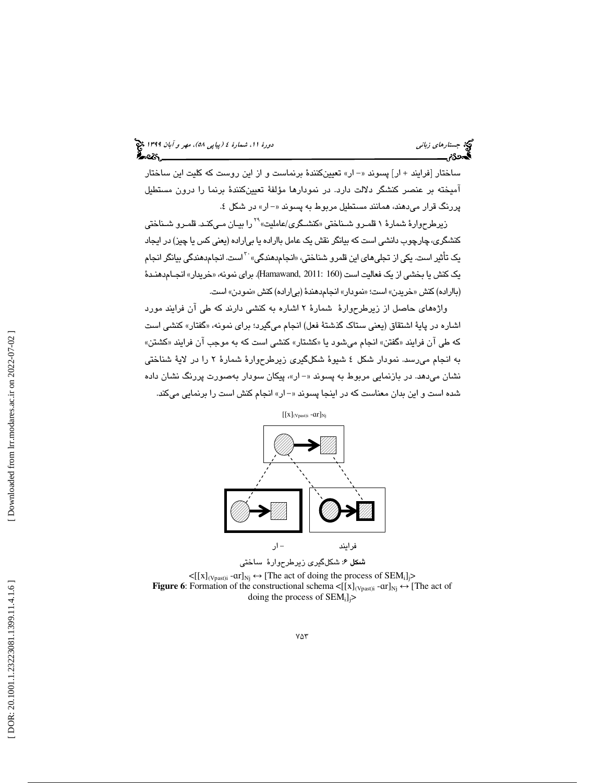ساختار [فرايند + ار] پسوند «– ار» تعيينكنندهٔ برنماست و از اين روست كه كليت اين ساختار آميخته بر عنصر كنشگر دلالت دارد. در نمودارها مؤلفة تعيينكنندة برنما را درون مستطيل پررنگ قرار مـيدهند، همـانند مستطيل مربوط به پسـوند «– ار» در شكل ٤.<br>زيرطرحوارهٔ شمارهٔ ۱ قلمـرو شـناختي «كنشـگري/عامليت» <sup>۲۹</sup>را بيـان مـيكنـد. قلمـرو شـناختي

کنشگری، چارچوب دانشی است که بيانگر نقش يک عامل بااراده يا بی|راده (يعنی کس يا چيز) در ايجاد<br>يک تأثير است. يکی از تجلیهای اين قلمرو شناختی، «انجامدهندگی» <sup>۲۰</sup>است. انجامدهندگی بيانگر انجام يک کنش يا بخشي از يک فعاليت است (Hamawand, 2011: 160). براي نمونه، «خريدار» انجــام<code>دهنـدهٔ</code> (بااراده) كنش «خريدن» است؛ «نمودار» انجامدهندهٔ (بياراده) كنش «نمودن» است.

 واژههاي حاصل از زيرطرحوارة شمارة 2 اشاره به كنشي دارند كه طي آن فرايند مورد اشاره در پايهٔ اشتقاق (يعني ستاک گذشتهٔ فعل) انجام ميگيرد؛ براي نمونه، «گفتار» کنشي است كه طي ان فرايند «گفتن» انجام ميشود يا «كشتار» كنشي است كه به موجب ان فرايند «كشتن» به انجام ميرسد. نمودار شكل 4 شيوة شكلگيري زيرطرحوارة شمارة 2 را در لاية شناختي نشان ميدهد. در بازنمايي مربوط به پسوند »ار -« ، پيكان سودار بهصورت پررنگ نشان داده شده است و اين بدان معناست كه در اينجا پسوند ار -« » انجام كنش است را برنمايي ميكند.



شكل ۶: شكلگيري زيرطرحوارهٔ ساختي  $\leq [[x]_{(Vpast)i} - ar]_{Nj} \leftrightarrow [The act of doing the process of SEM<sub>i</sub>]<sub>j</sub>$ **Figure 6**: Formation of the constructional schema  $\langle [x]_{(V_{past})i} - ar]_{Nj} \leftrightarrow [The act of$ doing the process of  $SEM_i$ ]<sub>j</sub>>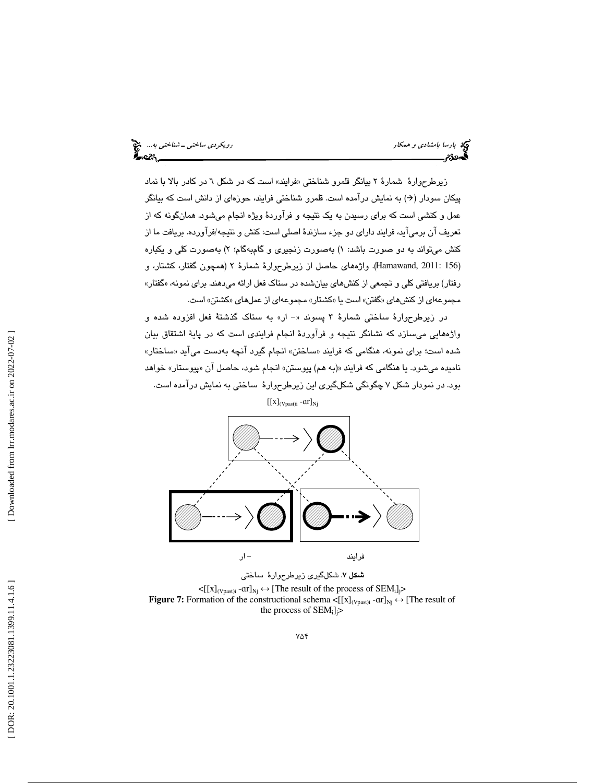پارسا بامشادی و همكار رويكردي ساختی ـ شناختی به... . . .<br>پارسا بامشادی و همكار رويكردي به است.<br>پارستان به استان به استان به استان به استان به استان به استان به استان به استان به استان به استان به استان به

زيرطرحوارهٔ شمارهٔ ۲ بيانگر قلمرو شناختی «فرايند» است كه در شكل ٦ در كادر بالا با نماد پيكان سودار (→) به نمايش درآمده است. قلمرو شناختی فرايند، حوزهای از دانش است كه بيانگر عمل و كنشي است كه براي رسيدن به يك نتيجه و فرآوردة ويژه انجام ميشود. همانگونه كه از تعريف آن برميآيد، فرايند داراي دو جزء سازندة اصلي است: كنش و نتيجه/فرآورده. بريافت ما از كنش مىتواند به دو صورت باشد: ۱) بهصورت زنجيرى و گامېهگام؛ ۲) بهصورت كلى و يكباره 156 2011: ,Hamawand(. واژههاي حاصل از زيرطرحوارة شمارة 2 (همچون گفتار، كشتار، و ) رفتار) بريافتي كلي و تجمعي از كنشهاي بيانشده در ستاك فعل ارائه ميدهند. براي نمونه، «گفتار» مجموعهاي از كنشهاي «گفتن» است يا «كشتار» مجموعهاي از عملهاي «كشتن» است.

در زيرطرحوارهٔ ساختی شمارهٔ ۳ پسوند «- ار» به ستاک گذشتهٔ فعل افزوده شده و واژههايي ميسازد كه نشانگر نتيجه و فرآوردة انجام فرايندي است كه در پاية اشتقاق بيان شده است؛ برای نمونه، هنگامی که فرایند «ساختن» انجام گیرد انچه بهدست میاید «ساختار» نامیده میشود. یا هنگامی که فرایند «(به هم) پیوستن» انجام شود، حاصل ان «پیوستار» خواهد بود. در نمودار شكل 7 چگونگي شكلگيري اين زيرطرحوارة ساختي به نمايش درآمده است.

 $[[x]_{(Vpast)i}$  -  $ar]_{Nj}$ 



شكل 7. شكلگيري زيرطرحوارة ساختي  $\lt [[x]_{(Vpast)i} - ar]_{Nj} \leftrightarrow [The result of the process of SEM_i]$ **Figure 7:** Formation of the constructional schema  $\leq [x]_{(Vpast)i}$  - $ar]_{Nj} \leftrightarrow [The result of$ the process of  $SEM_i$ ]<sup> $\ge$ </sup>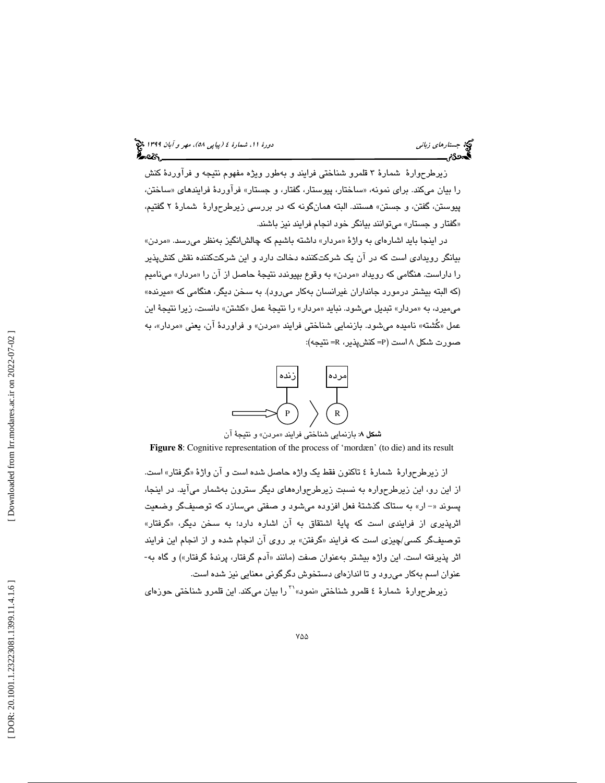زيرطرحوارة شمارة 3 قلمرو شناختي فرايند و بهطور ويژه مفهوم نتيجه و فرآوردة كنش را بیان میکند. برای نمونه، «ساختار، پیوستار، گفتار، و جستار» فراوردهٔ فرایندهای «ساختن، پيوستن، گفتن، و جستن» هستند. البته همانگونه كه در بررسي زيرطرحوارة شمارة 2 گفتيم، گفتار و جستار» ميتوانند بيانگر خود انجام فرايند نيز باشند. »

در اينجا بايد اشارهاي به واژهٔ «مردار» داشته باشيم كه چالشانگيز بهنظر ميرسد. «مردن» بيانگر رويدادي است كه در آن يك شركتكننده دخالت دارد و اين شركتكننده نقش كنشپذير را داراست. هنگامی که رویداد «مردن» به وقوع بپیوندد نتیجهٔ حاصل از ان را «مردار» مینامیم (كه البته بیشتر درمورد جانداران غیرانسان بهكار میرود). به سخن دیگر، هنگامی كه «میرنده» میمیرد، به «مردار» تبدیل میشود. نباید «مردار» را نتیجهٔ عمل «کشتن» دانست، زیرا نتیجهٔ این عمل «كَشته» ناميده ميشود. بازنمايي شناختي فرايند «مردن» و فراوردهٔ ان، يعني «مردار»، به صورت شكل ۸ است (P= كنشپذير، R= نتيجه):



**شكل ۸:** بازنمايي شناختي فرايند «مردن» و نتيجهٔ آن

**Figure 8**: Cognitive representation of the process of 'mordæn' (to die) and its result

از زيرطرحوارهٔ شمارهٔ ٤ تاكنون فقط يک واژه حاصل شده است و ان واژهٔ «گرفتار» است. از اين رو، اين زيرطرحواره به نسبت زيرطرح وارههاي ديگر سترون بهشمار ميآيد. در اينجا، پسوند «- ار» به ستاك گذشتهٔ فعل افزوده ميشود و صفتي ميسازد كه توصيفگر وضعيت اثرپذير*ى* از فرايند*ى* است كه پايهٔ اشتقاق به ان اشاره دارد؛ به سخن ديگر، «گرفتار» توصيفگر كسى/چيزى است كه فرايند «گرفتن» بر روى ان انجام شده و از انجام اين فرايند اثر پذيرفته است. اين واژه بيشتر بهعنوان صفت (مانند «آدم گرفتار، پرندهٔ گرفتار») و گاه به-عنوان اسم بهكار مي رود و تا اندازهاي دستخوش دگرگوني معنايي نيز شده است.<br>زيرطرحوارهٔ شمارهٔ ٤ قلمرو شناختي «نمود» `` را بيان ميكند. اين قلمرو شناختي حوزهاي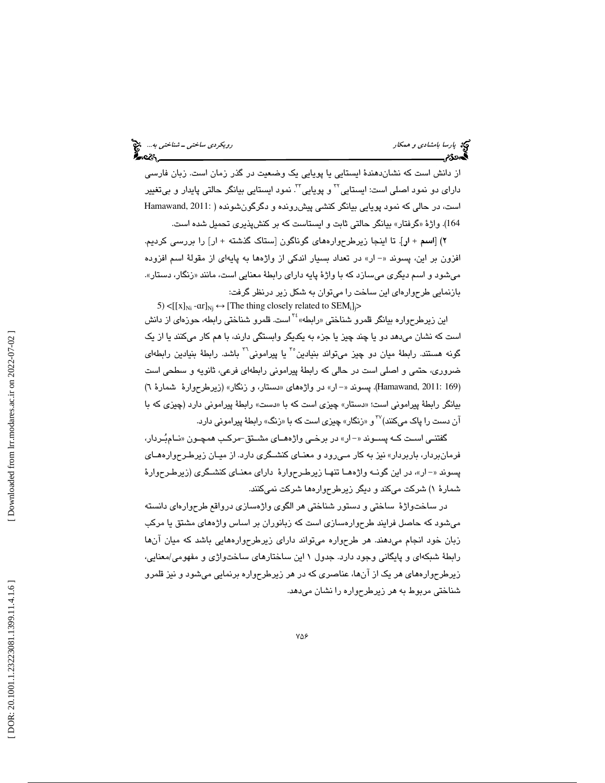پارسا بامشادی و همكار رويكردي ساختی ـ شناختی به... انتخ<br>پارسا بامشادی و همكار رويكردي به است.<br>پارسان به استان به استان به استان به استان به استان به استان به استان به استان به استان به استان به استان به ا

از دانش است كه نشاندهندة ايستايي يا پويايي يك وضعيت در گذر زمان است. زبان فارسي دارای دو نمود اصلی است: ايستايي<sup>۲۲</sup> و پويايی<sup>۳۲</sup>. نمود ايستايی بيانگر حالتی پايدار و بی**تغ**يير است، در حالي كه نمود پويايي بيانگر كنشي پيشرونده و دگرگونشونده ( 2011: ,Hamawand گرفتار» بيانگر حالتي ثابت و ايستاست كه بر كنشپذيري تحميل شده است. 164). واژة «

۲) [اسم + ار]. تا اينجا زيرطرحوارههاي گوناگون [ستاک گذشته + ار] را بررسي كرديم. افزون بر اين، پسوند «- ار» در تعداد بسيار اندكي از واژهها به پايهاي از مقولة اسم افزوده میشود و اسم دیگری میسازد كه با واژهٔ پایه دارای رابطهٔ معنایی است، مانند «زنگار، دستار». بازنمايي طرحوارهاي اين ساخت را ميتوان به شكل زير درنظر گرفت:

5) < $[[x]_{Ni}$  - $ar]_{Nj} \leftrightarrow$  [The thing closely related to SEM<sub>i</sub>]<sub>j</sub>> این زیرطرحواره بیانگر قلمرو شناختی «رابطه» <sup>۲۶</sup> است. قلمرو شناختی رابطه، حوزهای از دانش است كه نشان ميدهد دو يا چند چيز يا جزء به يكديگر وابستگي دارند، با هم كار ميكنند يا از يك گونه هستند. رابطهٔ میان دو چیز میتواند بنیادین°<sup>۲</sup> یا پیرامونی<sup>۳۰</sup> باشد. رابطهٔ بنیادین رابطهای ضروري، حتمي و اصلي است در حالي كه رابطهٔ پيراموني رابطهاي فرعي، ثانويه و سطحي است (Hamawand, 2011: 169). پسوند «–ار» در واژههای «دستار، و زنگار» (زیرطرحوارهٔ شمارهٔ ٦) بیانگر رابطهٔ پیرامونی است؛ «دستار» چیزی است که با «دست» رابطهٔ پیرامونی دارد (چیزی که با آن دست را پاک میکنند)<sup>۳۷</sup> و «زنگار» چیزی است که با «زنگ» رابطهٔ پیرامونی دارد.

گفتنـي اسـت كــه پســوند «– ار» در برخـي واژههــاي مشــتق-مركـب همچــون «نــامېـُـردار، فرمانبردار، باربردار» نيز به كار مـي رود و معنـاي كنشـگري دارد. از ميـان زيرطـرح وارههـاي پسوند «- ار»، در اين گونـه واژههـا تنهـا زيرطـرحوارهٔ داراي معنـاي كنشـگري (زيرطـرحوارهٔ شمارهٔ ۱) شركت مىكند و ديگر زيرطرحوارەها شركت نمىكنند.

در ساختواژة ساختي و دستور شناختي هر الگوي واژهسازي درواقع طرح وارهاي دانسته ميشود كه حاصل فرايند طرحوارهسازي است كه زبانوران بر اساس واژههاي مشتق يا مركب زبان خود انجام ميدهند. هر طرحواره ميتواند داراي زيرطرح وارههايي باشد كه ميان آنها رابطة شبكهاي و پايگاني وجود دارد. جدول 1 اين ساختارهاي ساختواژي و مفهومي/معنايي، زيرطرح وارههاي هر يك از آنها، عناصري كه در هر زيرطرحواره برنمايي ميشود و نيز قلمرو شناختي مربوط به هر زيرطرحواره را نشان ميدهد.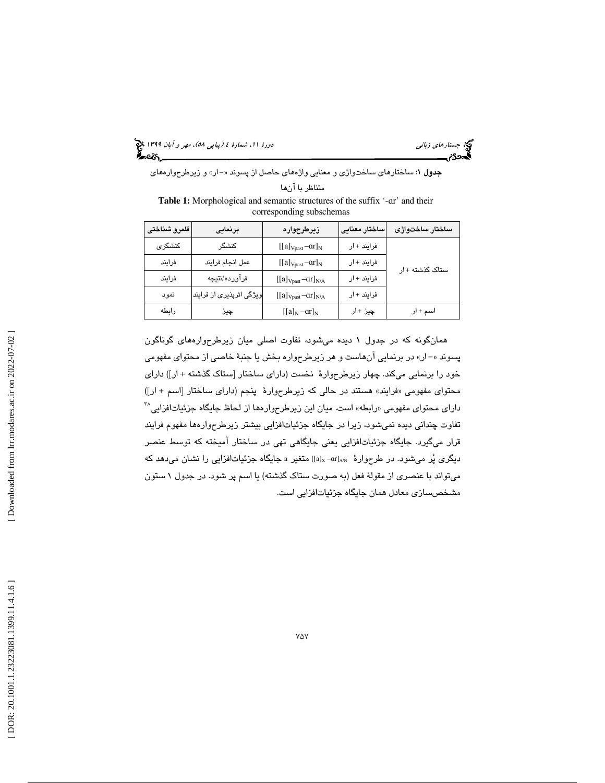(پياپي 58)، مهر و آبان 1399 جستارهاي زباني دورة ،11 شمارة 4

جدول : 1 ساختارهاي ساختواژي و معنايي واژههاي حاصل از پسوند ار - « » و زيرطرحوارههاي متناظر با آن ها

Table 1: Morphological and semantic structures of the suffix '-ar' and their corresponding subschemas

| قلمرو شناختى | برنمایی                  | زيرطرحواره               | ساختار معنايى | ساختار ساختواژى |
|--------------|--------------------------|--------------------------|---------------|-----------------|
| كنشگرى       | كنشگر                    | $[[a]_{Vpast}-ar]_N$     | فرایند + ار   |                 |
| فرايند       | عمل انجام فرايند         | $[[a]_{Vpast}-ar]_N$     | فرایند +ار    | ستاک گذشته +ار  |
| فرايند       | فرآورده/نتيجه            | $[[a]_{Vpast}-ar]_{N/A}$ | فرایند + ار   |                 |
| نمود         | ویژگی اثرپذیری از فرایند | $[[a]_{Vpast}-ar]_{N/A}$ | فرایند + ار   |                 |
| رابطه        | ڇيز                      | $[[a]_N - ar]_N$         | چيز +ار       | اسم + ار        |

همانگونه كه در جدول 1 ديده ميشود، تفاوت اصلي ميان زيرطرح وارههاي گوناگون پسوند «-ار» در برنمايي آنهاست و هر زيرطرحواره بخش يا جنبهٔ خاصي از محتواي مفهومي خود را برنمايي ميكند. چهار زيرطرحوارة نخست (داراي ساختار [ستاك گذشته + ار]) داراي محتواي مفهومي «فرايند» هستند در حالي كه زيرطرحوارهٔ پنجم (داراي ساختار [اسم + ار]) دارای محتوای مفهومی «رابطه» است. میان این زیرطرحوارهها از لحاظ جایگاه جزئیاتافزایی<sup>۳۸</sup> تفاوت چنداني ديده نمي شود، زيرا در جايگاه جزئياتافزايي بيشتر زيرطرحوارهها مفهوم فرايند قرار ميگيرد. جايگاه جزئياتافزايي يعني جايگاهي تهي در ساختار آميخته كه توسط عنصر ديگری پُر میشود. در طرحوارهٔ «alx-arl»] متغير a جايگاه جزئياتافزايي را نشان میدهد كه ميتواند با عنصري از مقولة فعل (به صورت ستاك گذشته) يا اسم پر شود. در جدول 1 ستون مشخصسازي معادل همان جايگاه جزئياتافزايي است.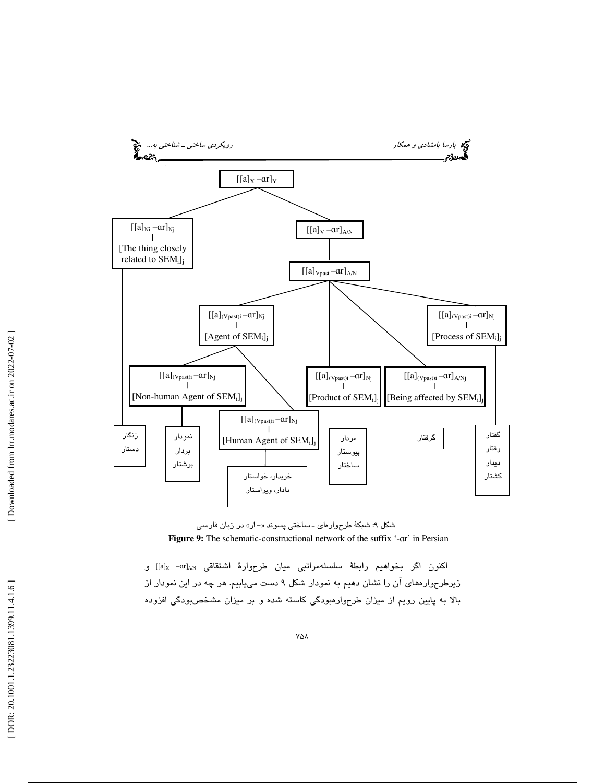

شكل ۹: شبكهٔ طرحوارهای ــ ساختی پسوند «–ار» در زبان فارسی Figure 9: The schematic-constructional network of the suffix '-ar' in Persian

اكنون اگر بخواهيم رابطهٔ سلسلهمراتبي ميان طرحوارهٔ اشتقاقي al<sub>x –</sub>arl<sub>an</sub>]] و زيرطرح وارههاي آن را نشان دهيم به نمودار شكل 9 دست مييابيم. هر چه در اين نمودار از بالا به پايين رويم از ميزان طرح وارهبودگي كاسته شده و بر ميزان مشخصبودگي افزوده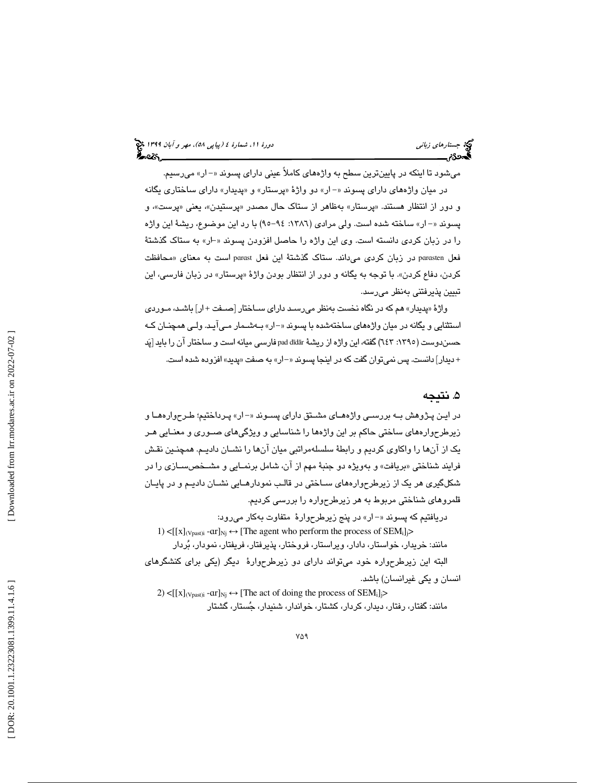## (پياپي 58)، مهر و آبان 1399 جستارهاي زباني دورة ،11 شمارة 4

ميشود تا اينكه در پايينترين سطح به واژههاي كاملاً عيني داراي پسوند «-ار» ميرسيم. در ميان واژههاي داراي پسوند «–ار» دو واژهٔ «پرستار» و «پديدار» داراي ساختاري يگانه و دور از انتظار هستند. «پرستار» بهظاهر از ستاک حال مصدر «پرستیدن»، یعنی «پرست»، و پسوند «- ار» ساخته شده است. ولي مرادي (١٣٨٦: ٩٤-٩٥) با رد اين موضوع، ريشهٔ اين واژه را در زبان كردي دانسته است. وي اين واژه را حاصل افزودن پسوند -« ار» به ستاك گذشتة فعل parasten در زبان كردى مىداند. ستاك گذشتهٔ اين فعل parast است به معناى «محافظت كردن، دفاع كردن». با توجه به يگانه و دور از انتظار بودن واژهٔ «پرستار» در زبان فارسى، اين تبيين پذيرفتني بهنظر ميرسد.

پديدار» هم كه در نگاه نخست بهنظر ميرسـد داراي سـاختار [صـفت + ار] باشـد، مـوردي واژة « استثنايي و يگانه در ميان واژههاي ساختهشده با پسوند «–ار» بـهشـمار مـي آيـد. ولـي همچنـان كـه حسندوست (١٣٩٥: ٦٤٣) گفته، اين واژه از ريشهٔ pad dīdār فارسى ميانه است و ساختار ان را بايد [پَد + دیدار] دانست. پس نمیتوان گفت كه در اینجا پسوند «–ار» به صفت «پدید» افزوده شده است.

### . نتيجه 5

در ايـن پـژوهش بـه بررسـي واژههـاي مشـتق داراي پسـوند «– ار» پـرداختيم؛ طـرحوارههـا و زيرطرح وارههاي ساختي حاكم بر اين واژهها را شناسايي و ويژگيهاي صـوري و معنـايي هـر يك از آنها را واكاوي كرديم و رابطة سلسلهمراتبي ميان آنها را نشـان داديـم. همچنـين نقـش فرايند شناختي «بريافت» و بەويژه دو جنبۀ مهم از ان، شامل برنمـايي و مشــخصســازي را در شكلگيري هر يك از زيرطرح وارههاي سـاختي در قالـب نمودارهـايي نشـان داديـم و در پايـان قلمروهاي شناختي مربوط به هر زيرطرحواره را بررسي كرديم.

دريافتيم كه پسوند «- ار» در پنج زيرطرحوارهٔ متفاوت بهكار مىرود: 1)  $\leq$ [[x]<sub>(Vpast)i</sub> - ar]<sub>Nj</sub>  $\leftrightarrow$  [The agent who perform the process of SEM<sub>i</sub>]<sub>j</sub>> مانند: خريدار، خواستار، دادار، ويراستار، فروختار، پذيرفتار، فريفتار، نمودار، بردار البته اين زيرطرحواره خود ميتواند داراي دو زيرطرحوارة ديگر (يكي براي كنشگرهاي انسان و يكي غيرانسان) باشد.

2) < $[[x]_{(Vpast)i}$  - $ar]_{Nj} \leftrightarrow [The act of doing the process of SEM<sub>i</sub>]$ > مانند: گفتار، رفتار، ديدار، كردار، كشتار، خواندار، شنيدار، جستار، گشتار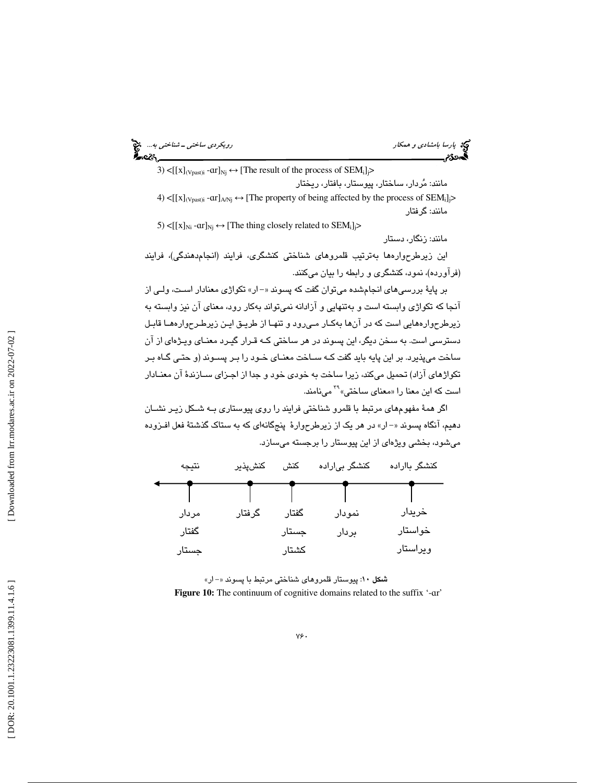| رویکردی ساختی – شناختی به چیخ<br>مناطقه |  |
|-----------------------------------------|--|
|                                         |  |

3) < $[[x]_{(Vpast)i} - ar]_{Nj} \leftrightarrow [The result of the process of SEM_i]$ 

مانند: مردار، ساختار، پيوستار، بافتار، ريختار

4) < $[[x]_{(Vpast)i}$  -ar] $_{A/Nj} \leftrightarrow$  [The property of being affected by the process of SEM<sub>i</sub>] $>$ مانند: گرفتار

5) < $[[x]_{Ni}$  -ar $]_{Nj} \leftrightarrow$  [The thing closely related to SEM<sub>i</sub>] $>$ مانند: زنگار، دستار

اين زيرطرح وارهها بهترتيب قلمروهاي شناختي كنشگري، فرايند (انجامدهندگي)، فرايند (فرآورده)، نمود، كنشگري و رابطه را بيان ميكنند.

بر پايهٔ بررسي *ه*اي انجامشده ميتوان گفت كه پسوند «– ار» تكواژي معنادار اسـت، ولـي از آنجا كه تكواژي وابسته است و بهتنهايي و آزادانه نميتواند بهكار رود، معناي آن نيز وابسته به زيرطرح وارههايي است كه در آنها بهكـار مـي رود و تنهـا از طريـق ايـن زيرطـرح وارههـا قابـل دسترسي است. به سخن ديگر، اين پسوند در هر ساختي كـه قـرار گيـرد معنـاي ويـژه اي از آن ساخت ميپذيرد. بر اين پايه بايد گفت كـه سـاخت معنـاي خـود را بـر پسـوند (و حتـي گـاه بـر <sup>۳۹</sup> مینامند. تكواژهای آزاد) تحميل میكند، زيرا ساخت به خودی خود و جدا از اجـزای ســازندهٔ آن معنــادار

اگر همة مفهومهاي مرتبط با قلمرو شناختي فرايند را روي پيوستاري بـه شـكل زيـر نشـان دهيم، آنگاه پسوند «- ار» در هر يک از زيرطرحوارهٔ پنجگانهاي كه به ستاک گذشتهٔ فعل افـزوده ميشود، بخشي ويژهاي از اين پيوستار را برجسته ميسازد.

| نتيجه | كنشپذير | كنش   | کنشگر بیاراده | کنشگر بااراده |
|-------|---------|-------|---------------|---------------|
|       |         |       |               |               |
| مردار | گرفتار  | گفتار | نمودار        | خريدار        |
| گفتار |         | جستار | بردار         | خواستار       |
| جستار |         | كشتار |               | ويراستار      |

شكل 10: پيوستار قلمروهاي شناختي مرتبط با پسوند »ار - « **Figure 10:** The continuum of cognitive domains related to the suffix '- ɑr'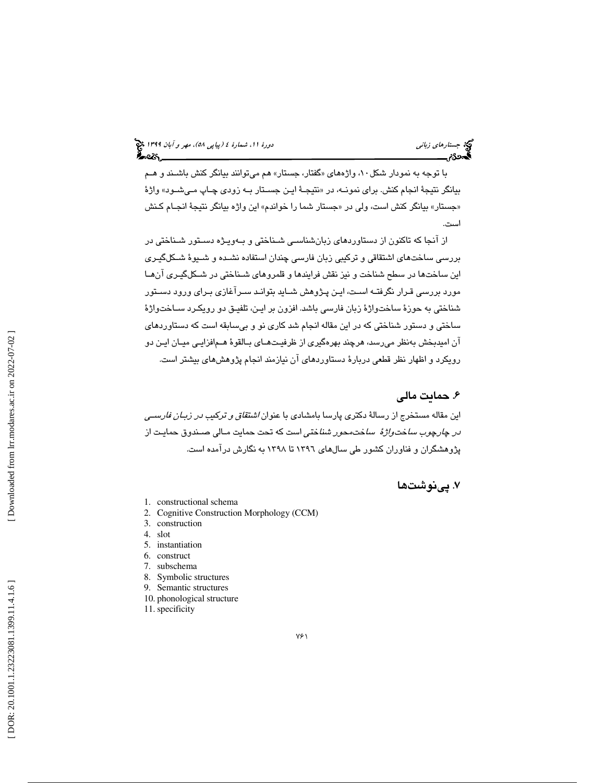با توجه به نمودار شكل ۱۰، واژههای «گفتار، جستار» هم میتوانند بیانگر كنش باشــند و هــم بيانگر نتيجهٔ انجام كنش. براي نمونــه، در «نتيجــهٔ ايــن جسـتار بــه زودي چــاپ مــيشــود» واژهٔ «جستار» بیانگر کنش است، ولی در «جستار شما را خواندم» این واژه بیانگر نتیجهٔ انجـام کـنش است.

از آنجا كه تاكنون از دستاوردهاي زبانشناسـي شـناختي و بـه ويـژه دسـتور شـناختي در بررسي ساختهاي اشتقاقي و تركيبي زبان فارسي چندان استفاده نشـده و شـيوة شـكل گيـري اين ساختها در سطح شناخت و نيز نقش فرايندها و قلمروهاي شـناختي در شـكل گيـري آن هـا مورد بررسي قـرار نگرفتـه اسـت، ايـن پـژوهش شـايد بتوانـد سـرآغازي بـراي ورود دسـتور شناختي به حوزة ساختواژة زبان فارسي باشد. افزون بر ايـن، تلفيـق دو رويكـرد سـاخت واژة ساختي و دستور شناختي كه در اين مقاله انجام شد كاري نو و بيسابقه است كه دستاوردهاي آن اميدبخش بهنظر ميرسد، هرچند بهرهگيري از ظرفيـت هـاي بـالقوة هـم افزايـي ميـان ايـن دو رويكرد و اظهار نظر قطعي دربارة دستاوردهاي آن نيازمند انجام پژوهشهاي بيشتر است.

### . حمايت مالي 6

اين مقاله مستخرج از رسالهٔ دكترى پارسا بامشادى با عنوان *اشتقاق و تر*كي*ب در زبـان فارسـي در چارچوب ساختواژهٔ ساختمحور شناختي* است كه تحت حمايت مـالي صـندوق حمايـت از پژوهشگران و فناوران كشور طي سالهاي 1396 تا 1398 به نگارش درآمده است.

### . پينوشتها 7

- 1. constructional schema
- 2. Cognitive Construction Morphology (CCM)
- 3. construction
- 4. slot
- 5. instantiation
- 6. construct
- 7. subschema
- 8. Symbolic structures
- 9. Semantic structures
- 10. phonological structure
- 11. specificity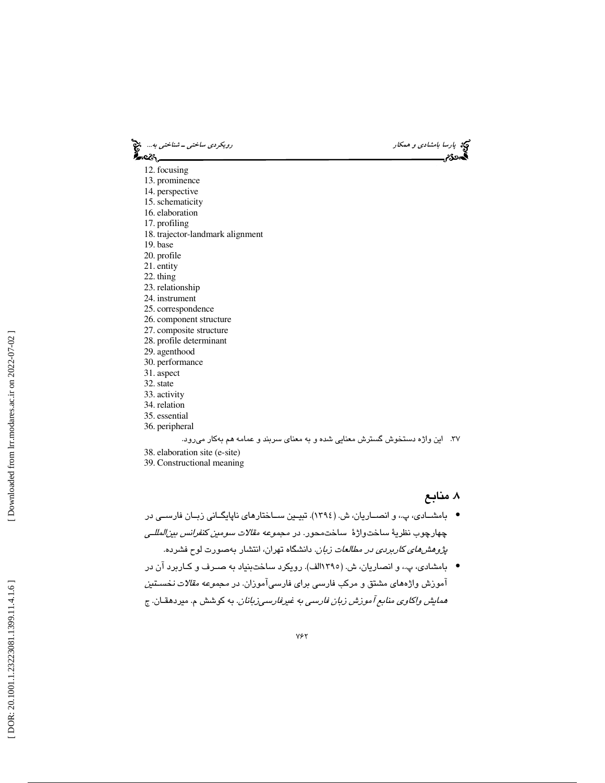| رویکردی ساختی ــ شناختی به<br>____ | که پ <i>ارسا بامشادی و همکار</i><br>گ <b>یددی میستند</b> |
|------------------------------------|----------------------------------------------------------|
| 12. focusing                       |                                                          |
| 13. prominence                     |                                                          |
| 14. perspective                    |                                                          |
| 15. schematicity                   |                                                          |
| 16. elaboration                    |                                                          |
| 17. profiling                      |                                                          |
| 18. trajector-landmark alignment   |                                                          |
| 19. base                           |                                                          |
| 20. profile                        |                                                          |
| 21. entity                         |                                                          |
| 22. thing                          |                                                          |
| 23. relationship                   |                                                          |
| 24. instrument                     |                                                          |
| 25. correspondence                 |                                                          |
| 26. component structure            |                                                          |
| 27. composite structure            |                                                          |
| 28. profile determinant            |                                                          |
| 29. agenthood                      |                                                          |
| 30. performance                    |                                                          |
| 31. aspect                         |                                                          |
| 32. state                          |                                                          |
| 33. activity                       |                                                          |
| 34. relation                       |                                                          |
| 35. essential                      |                                                          |
| $26 - 1 - 1$                       |                                                          |

36. peripheral

### 37. اين واژه دستخوش گسترش معنايي شده و به معناي سربند و عمامه هم بهكار ميرود.

- 38. elaboration site (e-site)
- 39. Constructional meaning

### . منابع 8

- بامشــادي، پ،. و انصـاريان، ش. (1394). تبيــين ســاختارهاي ناپايگـاني زبــان فارســي در چهارچوب نظريهٔ ساختواژهٔ ساختمحور. در *مجموعه مقالات سومين كنفرانس بين المللـي* پژوهشهاي كاربردي در مطالعات زبان. دانشگاه تهران، انتشار بهصورت لوح فشرده.
- بامشادي، پ،. و انصاريان، ش. (1395الف). رويكرد ساختبنياد به صـرف و كـاربرد آن در آموزش واژههاي مشتق و مركب فارسي براي فارسيآموزان. در مجموعه مقالات نخسـتين همايش واكاوي منابع آموزش زبان فارسي به غيرفارسيزبانان. به كوشش م. ميردهقـان. ج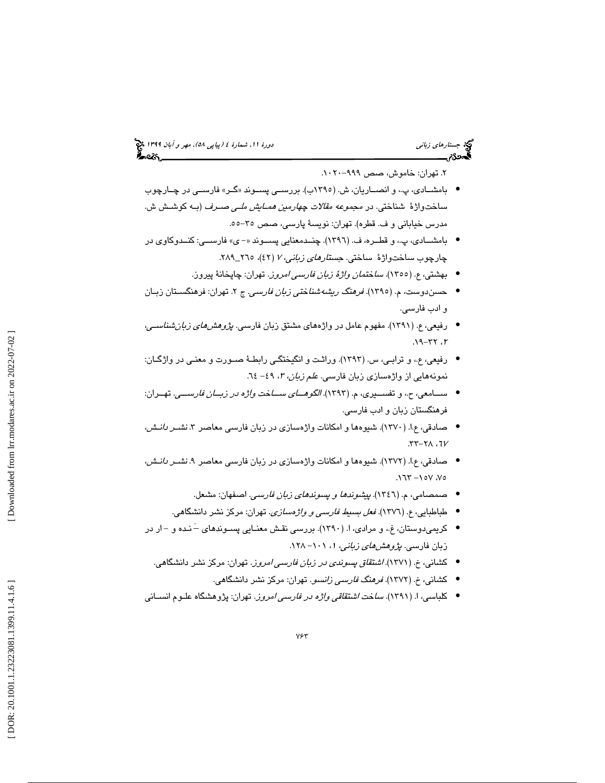## (پياپي 58)، مهر و آبان 1399 جستارهاي زباني دورة ،11 شمارة 4

۲. تهران: خاموش، صص ۹۹۹–۱۰۲۰.

- بامشــادی، پ،، و انصــاریان، ش. (١٣٩٥ب). بررســي پســوند «گــر» فارســي در چــارچوب ساختواژهٔ شناختی. در *مجموعه مقالات چهارمین همـایش ملـی صـرف* (بـه كوشـش ش. مدرس خياباني و ف. قطره). تهران: نويسة پارسي، صص -55. 35
- بامشــادي، پ،. و قطــره، ف. ( 1396). چنــدمعنايي پســوند ي « » فارســي: كنــدوكاوي در چارچوب ساختواژهٔ ساختی. *جستارهای زبانی، ۲ (*٤٢)، ٢٦٥\_٢٨٩.
	- بهشتي، ع. (١٣٥٥). *ساختمان واژهٔ زبان فارسي امروز*. تهران: چاپخانهٔ پيروز.
- حسندوست، م. (١٣٩٥). *فرهنگ ريشهشناختي زبان فارسي.* ج ۲. تهران: فرهنگسـتان زبـان و ادب فارسي .
- رفيعي، ع. (١٣٩١). مفهوم عامل در واژههاي مشتق زبان فارسي*. پژوهشهاي زبان شناسـي*، ۲، ۲۲-۱۹.
- رفيعي، ع،. و ترابـي، س. ( 1393). وراثـت و انگيختگـي رابطـة صـورت و معنـ ي در واژگـان : نمونههايي از واژهسازي زبان فارسي. *علم زبان، ٣، ٤٩* - ٦٤.
- ســامعي، ح،. و تفســيري، م. ( 1393). الگوهــاي ســاخت واژه در زبــان فارســي . تهــران: فرهنگستان زبان و ادب فارسي.
- صادقي، ع.ا. (١٣٧٠). شيوهها و امكانات واژهسازي در زبان فارسي معاصر ٣. *نشـر دانـش،*  $27 - 71.7$
- صادقي، ع.ا. (١٣٧٢). شيوهها و امكانات واژهسازي در زبان فارسي معاصر ٩. *نشـر دانـش،*  $.177 - 10V.$ 
	- صمصامي، ( م. 1346 ). پيشوندها و پسوندهاي زبان فارسي. اصفهان: مشعل. •
	- طباطبايي، ع. (1376). فعل بسيط فارسي و واژهسازي. تهران: مركز نشر دانشگاهي. •
- کریمیدوستان، غ.، و مرادی، ا. (١٣٩٠). بررسی نقش معنـایی پسـوندهای –َ نـده و –ار در زبان فارسـی. *پژوهش@ای زبانی، ۱، ۱*۰۱– ۱۲۸.
	- كشاني، خ. (1371). اشتقاق پسوندي در زبان فارسي امروز. تهران: مركز نشر دانشگاهي.
		- كشاني، خ. (1372). فرهنگ فارسي زانسو. تهران: مركز نشر دانشگاهي. •
- كلباسي، ا. (1391). ساخت اشتقاقي واژه در فارسي امروز. تهران: پژوهشگاه علـوم انسـاني •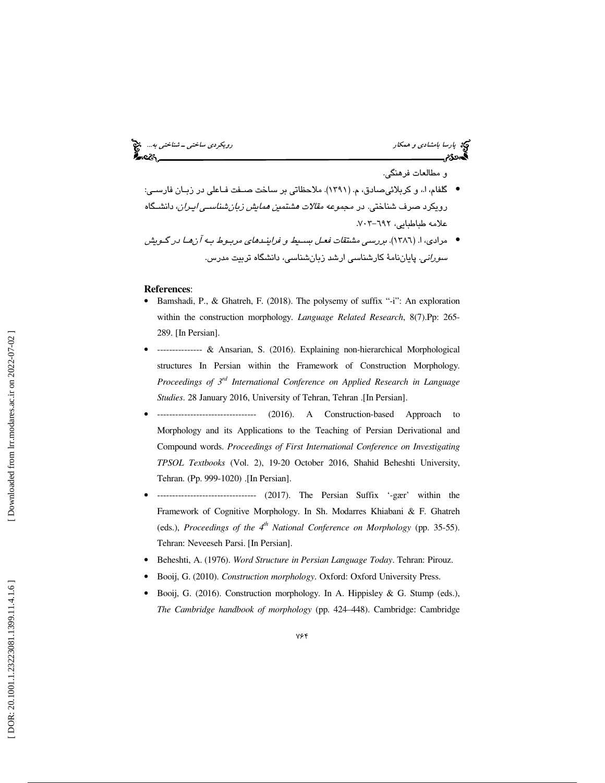و مطالعات فرهنگي.

● گلفام، ا،، و كربلائيصادق، م. (١٣٩١). ملاحظاتي بر ساخت صــفت فـاعلي در زبـان فارســي: رويكرد صرف شناختي. در مج*موعه مقالات هشتمين همايش زبان شناسـي ايـران*، دانشـگاه علامه طباطبايي، ٦٩٢-٧٠٣.

مرادي، ا. (1386). بررسي مشتقات فعـل بسـيط و فراينـدهاي مربـوط بـه آن هـا در گـويش • *سوراني*. پاياننامهٔ كارشناسي ارشد زبانشناسي، دانشگاه تربيت مدرس.

- **References:**<br>• Bamshadi, P., & Ghatreh, F. (2018). The polysemy of suffix "-i": An exploration within the construction morphology. *Language Related Research*, 8(7).Pp: 265- 289. [In Persian].
- --------------- & Ansarian, S. (2016). Explaining non-hierarchical Morphological structures In Persian within the Framework of Construction Morphology. *Proceedings of 3rd International Conference on Applied Research in Language Studies*. 28 January 2016, University of Tehran, Tehran .[In Persian].
- --------------------------------- (2016). A Construction-based Approach to Morphology and its Applications to the Teaching of Persian Derivational and Compound words. *Proceedings of First International Conference on Investigating TPSOL Textbooks* (Vol. 2), 19-20 October 2016, Shahid Beheshti University, Tehran. (Pp. 999-1020) .[In Persian].
- --------------------------------- (2017). The Persian Suffix '-gær' within the Framework of Cognitive Morphology. In Sh. Modarres Khiabani & F. Ghatreh (eds.), *Proceedings of the 4th National Conference on Morphology* (pp. 35-55). Tehran: Neveeseh Parsi. [In Persian].
- Beheshti, A. (1976). *Word Structure in Persian Language Today*. Tehran: Pirouz.
- Booij, G. (2010). *Construction morphology*. Oxford: Oxford University Press.
- Booij, G. (2016). Construction morphology. In A. Hippisley & G. Stump (eds.), *The Cambridge handbook of morphology* (pp. 424–448). Cambridge: Cambridge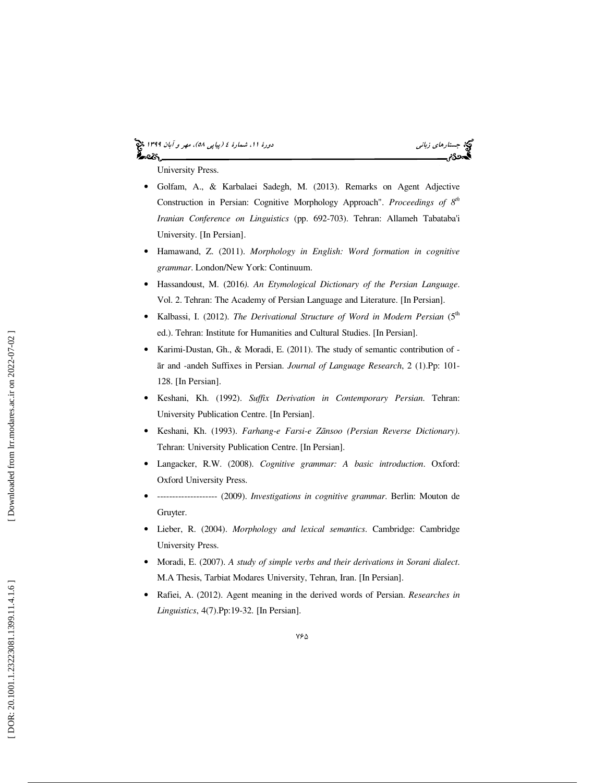### (پياپي 58)، مهر و آبان 1399 جستارهاي زباني دورة ،11 شمارة 4 ప్రాయ



University Press.

- Golfam, A., & Karbalaei Sadegh, M. (2013). Remarks on Agent Adjective Construction in Persian: Cognitive Morphology Approach". *Proceedings of 8th Iranian Conference on Linguistics* (pp. 692-703). Tehran: Allameh Tabataba'i University. [In Persian].
- Hamawand, Z. (2011). *Morphology in English: Word formation in cognitive grammar*. London/New York: Continuum.
- Hassandoust, M. (2016*). An Etymological Dictionary of the Persian Language*. Vol. 2. Tehran: The Academy of Persian Language and Literature. [In Persian].
- Kalbassi, I. (2012). *The Derivational Structure of Word in Modern Persian* (5<sup>th</sup> ed.). Tehran: Institute for Humanities and Cultural Studies. [In Persian].
- Karimi-Dustan, Gh., & Moradi, E. (2011). The study of semantic contribution of ār and -andeh Suffixes in Persian. *Journal of Language Research*, 2 (1).Pp: 101- 128. [In Persian].
- Keshani, Kh. (1992). *Suffix Derivation in Contemporary Persian*. Tehran: University Publication Centre. [In Persian].
- Keshani, Kh. (1993). *Farhang-e Farsi-e Z*ā*nsoo (Persian Reverse Dictionary)*. Tehran: University Publication Centre. [In Persian].
- Langacker, R.W. (2008). *Cognitive grammar: A basic introduction*. Oxford: Oxford University Press.
- -------------------- (2009). *Investigations in cognitive grammar*. Berlin: Mouton de Gruyter.
- Lieber, R. (2004). *Morphology and lexical semantics*. Cambridge: Cambridge University Press.
- Moradi, E. (2007). *A study of simple verbs and their derivations in Sorani dialect*. M.A Thesis, Tarbiat Modares University, Tehran, Iran. [In Persian].
- Rafiei, A. (2012). Agent meaning in the derived words of Persian. *Researches in Linguistics*, 4(7).Pp:19-32. [In Persian].